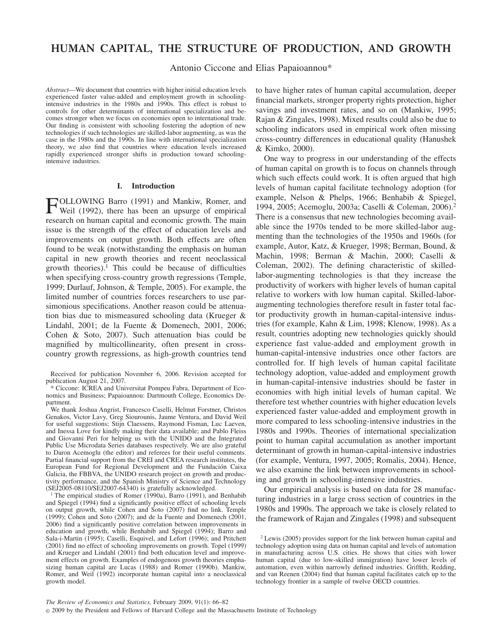# **HUMAN CAPITAL, THE STRUCTURE OF PRODUCTION, AND GROWTH**

Antonio Ciccone and Elias Papaioannou\*

*Abstract*—We document that countries with higher initial education levels experienced faster value-added and employment growth in schoolingintensive industries in the 1980s and 1990s. This effect is robust to controls for other determinants of international specialization and becomes stronger when we focus on economies open to international trade. Our finding is consistent with schooling fostering the adoption of new technologies if such technologies are skilled-labor augmenting, as was the case in the 1980s and the 1990s. In line with international specialization theory, we also find that countries where education levels increased rapidly experienced stronger shifts in production toward schoolingintensive industries.

#### **I. Introduction**

FOLLOWING Barro (1991) and Mankiw, Romer, and<br>Weil (1992), there has a Weil (1992), there has been an upsurge of empirical research on human capital and economic growth. The main issue is the strength of the effect of education levels and improvements on output growth. Both effects are often found to be weak (notwithstanding the emphasis on human capital in new growth theories and recent neoclassical growth theories).1 This could be because of difficulties when specifying cross-country growth regressions (Temple, 1999; Durlauf, Johnson, & Temple, 2005). For example, the limited number of countries forces researchers to use parsimonious specifications. Another reason could be attenuation bias due to mismeasured schooling data (Krueger & Lindahl, 2001; de la Fuente & Domenech, 2001, 2006; Cohen & Soto, 2007). Such attenuation bias could be magnified by multicollinearity, often present in crosscountry growth regressions, as high-growth countries tend

\* Ciccone: ICREA and Universitat Pompeu Fabra, Department of Economics and Business; Papaioannou: Dartmouth College, Economics Department.

We thank Joshua Angrist, Francesco Caselli, Helmut Forstner, Christos Genakos, Victor Lavy, Greg Siourounis, Jaume Ventura, and David Weil for useful suggestions; Stijn Claessens, Raymond Fisman, Luc Laeven, and Inessa Love for kindly making their data available; and Pablo Fleiss and Giovanni Peri for helping us with the UNIDO and the Integrated Public Use Microdata Series databases respectively. We are also grateful to Daron Acemoglu (the editor) and referees for their useful comments. Partial financial support from the CREI and CREA research institutes, the European Fund for Regional Development and the Fundación Caixa Galicia, the FBBVA, the UNIDO research project on growth and productivity performance, and the Spanish Ministry of Science and Technology (SEJ2005-08110/SEJ2007-64340) is gratefully acknowledged.

<sup>1</sup> The empirical studies of Romer (1990a), Barro (1991), and Benhabib and Spiegel (1994) find a significantly positive effect of schooling levels on output growth, while Cohen and Soto (2007) find no link. Temple (1999); Cohen and Soto (2007); and de la Fuente and Domenech (2001, 2006) find a significantly positive correlation between improvements in education and growth, while Benhabib and Spiegel (1994); Barro and Sala-i-Martin (1995); Caselli, Esquivel, and Lefort (1996); and Pritchett (2001) find no effect of schooling improvements on growth. Topel (1999) and Krueger and Lindahl (2001) find both education level and improvement effects on growth. Examples of endogenous growth theories emphasizing human capital are Lucas (1988) and Romer (1990b). Mankiw, Romer, and Weil (1992) incorporate human capital into a neoclassical growth model.

to have higher rates of human capital accumulation, deeper financial markets, stronger property rights protection, higher savings and investment rates, and so on (Mankiw, 1995; Rajan & Zingales, 1998). Mixed results could also be due to schooling indicators used in empirical work often missing cross-country differences in educational quality (Hanushek & Kimko, 2000).

One way to progress in our understanding of the effects of human capital on growth is to focus on channels through which such effects could work. It is often argued that high levels of human capital facilitate technology adoption (for example, Nelson & Phelps, 1966; Benhabib & Spiegel, 1994, 2005; Acemoglu, 2003a; Caselli & Coleman, 2006).2 There is a consensus that new technologies becoming available since the 1970s tended to be more skilled-labor augmenting than the technologies of the 1950s and 1960s (for example, Autor, Katz, & Krueger, 1998; Berman, Bound, & Machin, 1998; Berman & Machin, 2000; Caselli & Coleman, 2002). The defining characteristic of skilledlabor-augmenting technologies is that they increase the productivity of workers with higher levels of human capital relative to workers with low human capital. Skilled-laboraugmenting technologies therefore result in faster total factor productivity growth in human-capital-intensive industries (for example, Kahn & Lim, 1998; Klenow, 1998). As a result, countries adopting new technologies quickly should experience fast value-added and employment growth in human-capital-intensive industries once other factors are controlled for. If high levels of human capital facilitate technology adoption, value-added and employment growth in human-capital-intensive industries should be faster in economies with high initial levels of human capital. We therefore test whether countries with higher education levels experienced faster value-added and employment growth in more compared to less schooling-intensive industries in the 1980s and 1990s. Theories of international specialization point to human capital accumulation as another important determinant of growth in human-capital-intensive industries (for example, Ventura, 1997, 2005; Romalis, 2004). Hence, we also examine the link between improvements in schooling and growth in schooling-intensive industries.

Our empirical analysis is based on data for 28 manufacturing industries in a large cross section of countries in the 1980s and 1990s. The approach we take is closely related to the framework of Rajan and Zingales (1998) and subsequent

Received for publication November 6, 2006. Revision accepted for publication August 21, 2007.

<sup>2</sup> Lewis (2005) provides support for the link between human capital and technology adoption using data on human capital and levels of automation in manufacturing across U.S. cities. He shows that cities with lower human capital (due to low-skilled immigration) have lower levels of automation, even within narrowly defined industries. Griffith, Redding, and van Reenen (2004) find that human capital facilitates catch up to the technology frontier in a sample of twelve OECD countries.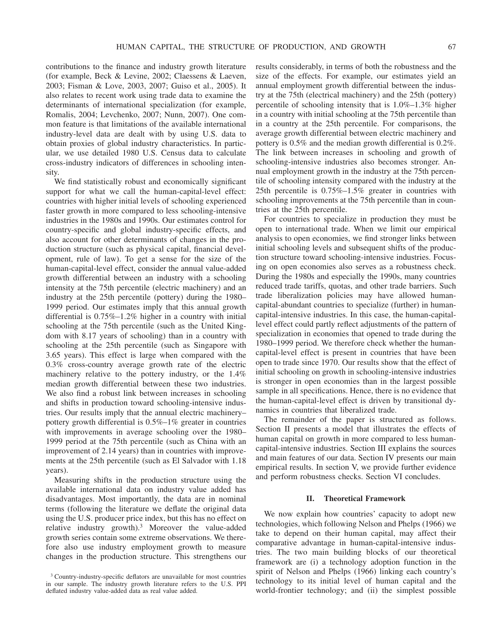contributions to the finance and industry growth literature (for example, Beck & Levine, 2002; Claessens & Laeven, 2003; Fisman & Love, 2003, 2007; Guiso et al., 2005). It also relates to recent work using trade data to examine the determinants of international specialization (for example, Romalis, 2004; Levchenko, 2007; Nunn, 2007). One common feature is that limitations of the available international industry-level data are dealt with by using U.S. data to obtain proxies of global industry characteristics. In particular, we use detailed 1980 U.S. Census data to calculate cross-industry indicators of differences in schooling intensity.

We find statistically robust and economically significant support for what we call the human-capital-level effect: countries with higher initial levels of schooling experienced faster growth in more compared to less schooling-intensive industries in the 1980s and 1990s. Our estimates control for country-specific and global industry-specific effects, and also account for other determinants of changes in the production structure (such as physical capital, financial development, rule of law). To get a sense for the size of the human-capital-level effect, consider the annual value-added growth differential between an industry with a schooling intensity at the 75th percentile (electric machinery) and an industry at the 25th percentile (pottery) during the 1980– 1999 period. Our estimates imply that this annual growth differential is 0.75%–1.2% higher in a country with initial schooling at the 75th percentile (such as the United Kingdom with 8.17 years of schooling) than in a country with schooling at the 25th percentile (such as Singapore with 3.65 years). This effect is large when compared with the 0.3% cross-country average growth rate of the electric machinery relative to the pottery industry, or the 1.4% median growth differential between these two industries. We also find a robust link between increases in schooling and shifts in production toward schooling-intensive industries. Our results imply that the annual electric machinery– pottery growth differential is 0.5%–1% greater in countries with improvements in average schooling over the 1980– 1999 period at the 75th percentile (such as China with an improvement of 2.14 years) than in countries with improvements at the 25th percentile (such as El Salvador with 1.18 years).

Measuring shifts in the production structure using the available international data on industry value added has disadvantages. Most importantly, the data are in nominal terms (following the literature we deflate the original data using the U.S. producer price index, but this has no effect on relative industry growth).3 Moreover the value-added growth series contain some extreme observations. We therefore also use industry employment growth to measure changes in the production structure. This strengthens our results considerably, in terms of both the robustness and the size of the effects. For example, our estimates yield an annual employment growth differential between the industry at the 75th (electrical machinery) and the 25th (pottery) percentile of schooling intensity that is 1.0%–1.3% higher in a country with initial schooling at the 75th percentile than in a country at the 25th percentile. For comparisons, the average growth differential between electric machinery and pottery is 0.5% and the median growth differential is 0.2%. The link between increases in schooling and growth of schooling-intensive industries also becomes stronger. Annual employment growth in the industry at the 75th percentile of schooling intensity compared with the industry at the 25th percentile is 0.75%–1.5% greater in countries with schooling improvements at the 75th percentile than in countries at the 25th percentile.

For countries to specialize in production they must be open to international trade. When we limit our empirical analysis to open economies, we find stronger links between initial schooling levels and subsequent shifts of the production structure toward schooling-intensive industries. Focusing on open economies also serves as a robustness check. During the 1980s and especially the 1990s, many countries reduced trade tariffs, quotas, and other trade barriers. Such trade liberalization policies may have allowed humancapital-abundant countries to specialize (further) in humancapital-intensive industries. In this case, the human-capitallevel effect could partly reflect adjustments of the pattern of specialization in economies that opened to trade during the 1980–1999 period. We therefore check whether the humancapital-level effect is present in countries that have been open to trade since 1970. Our results show that the effect of initial schooling on growth in schooling-intensive industries is stronger in open economies than in the largest possible sample in all specifications. Hence, there is no evidence that the human-capital-level effect is driven by transitional dynamics in countries that liberalized trade.

The remainder of the paper is structured as follows. Section II presents a model that illustrates the effects of human capital on growth in more compared to less humancapital-intensive industries. Section III explains the sources and main features of our data. Section IV presents our main empirical results. In section V, we provide further evidence and perform robustness checks. Section VI concludes.

#### **II. Theoretical Framework**

We now explain how countries' capacity to adopt new technologies, which following Nelson and Phelps (1966) we take to depend on their human capital, may affect their comparative advantage in human-capital-intensive industries. The two main building blocks of our theoretical framework are (i) a technology adoption function in the spirit of Nelson and Phelps (1966) linking each country's technology to its initial level of human capital and the world-frontier technology; and (ii) the simplest possible

<sup>3</sup> Country-industry-specific deflators are unavailable for most countries in our sample. The industry growth literature refers to the U.S. PPI deflated industry value-added data as real value added.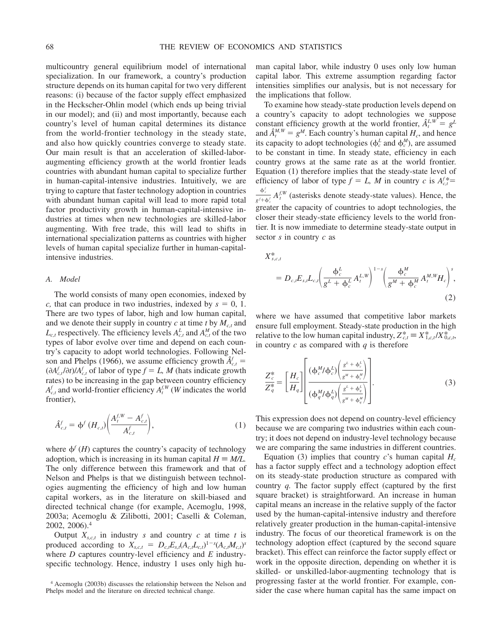multicountry general equilibrium model of international specialization. In our framework, a country's production structure depends on its human capital for two very different reasons: (i) because of the factor supply effect emphasized in the Heckscher-Ohlin model (which ends up being trivial in our model); and (ii) and most importantly, because each country's level of human capital determines its distance from the world-frontier technology in the steady state, and also how quickly countries converge to steady state. Our main result is that an acceleration of skilled-laboraugmenting efficiency growth at the world frontier leads countries with abundant human capital to specialize further in human-capital-intensive industries. Intuitively, we are trying to capture that faster technology adoption in countries with abundant human capital will lead to more rapid total factor productivity growth in human-capital-intensive industries at times when new technologies are skilled-labor augmenting. With free trade, this will lead to shifts in international specialization patterns as countries with higher levels of human capital specialize further in human-capitalintensive industries.

#### *A. Model*

The world consists of many open economies, indexed by *c*, that can produce in two industries, indexed by  $s = 0, 1$ . There are two types of labor, high and low human capital, and we denote their supply in country  $c$  at time  $t$  by  $M_{c,t}$  and  $L_{c,t}$  respectively. The efficiency levels  $A_{c,t}^L$  and  $A_{c,t}^M$  of the two types of labor evolve over time and depend on each country's capacity to adopt world technologies. Following Nelson and Phelps (1966), we assume efficiency growth  $\hat{A}^f_{c,t}$  =  $(\partial A_{c,t}^f/\partial t)/A_{c,t}^f$  of labor of type  $f = L$ , *M* (hats indicate growth rates) to be increasing in the gap between country efficiency  $A_{c,t}^f$  and world-frontier efficiency  $A_t^{f,W}(W)$  indicates the world frontier),

$$
\hat{A}_{c,t}^{f} = \phi^{f} (H_{c,t}) \bigg( \frac{A_{t}^{f,W} - A_{c,t}^{f}}{A_{c,t}^{f}} \bigg), \tag{1}
$$

where  $\phi^f$  (*H*) captures the country's capacity of technology adoption, which is increasing in its human capital  $H \equiv M/L$ . The only difference between this framework and that of Nelson and Phelps is that we distinguish between technologies augmenting the efficiency of high and low human capital workers, as in the literature on skill-biased and directed technical change (for example, Acemoglu, 1998, 2003a; Acemoglu & Zilibotti, 2001; Caselli & Coleman, 2002, 2006).4

Output  $X_{s,c,t}$  in industry *s* and country *c* at time *t* is produced according to  $X_{s,c,t} = D_{c,t} E_{s,t} (A_{c,t} L_{c,t})^{1-s} (A_{c,t} M_{c,t})^s$ where *D* captures country-level efficiency and *E* industryspecific technology. Hence, industry 1 uses only high human capital labor, while industry 0 uses only low human capital labor. This extreme assumption regarding factor intensities simplifies our analysis, but is not necessary for the implications that follow.

To examine how steady-state production levels depend on a country's capacity to adopt technologies we suppose constant efficiency growth at the world frontier,  $\hat{A}^{LW}_t = g^L$ and  $\hat{A}^{M,W}_{t} = g^{M}$ . Each country's human capital  $H_c$ , and hence its capacity to adopt technologies ( $\phi_c^L$  and  $\phi_c^M$ ), are assumed to be constant in time. In steady state, efficiency in each country grows at the same rate as at the world frontier. Equation (1) therefore implies that the steady-state level of efficiency of labor of type  $f = L$ , M in country c is  $A_{c,t}^{f*} =$  $\phi_c^f$  $\frac{\varphi_c}{g^f + \varphi'_c} A_f^{f,W}$  (asterisks denote steady-state values). Hence, the greater the capacity of countries to adopt technologies, the closer their steady-state efficiency levels to the world frontier. It is now immediate to determine steady-state output in sector *s* in country *c* as

$$
X_{s,c,t}^{*} = D_{c,t} E_{s,t} L_{c,t} \left( \frac{\phi_c^L}{g^L + \phi_c^L} A_t^{L,W} \right)^{1-s} \left( \frac{\phi_c^M}{g^M + \phi_c^M} A_t^{M,W} H_c \right)^s,
$$
\n(2)

where we have assumed that competitive labor markets ensure full employment. Steady-state production in the high relative to the low human capital industry,  $Z_{c,t}^* \equiv X_{1,c,t}^*/X_{0,c,t}^*$ in country *c* as compared with *q* is therefore

$$
\frac{Z_c^*}{Z_q^*} = \left[\frac{H_c}{H_q}\right] \left[\frac{(\phi_c^M/\phi_c^L) \left(\frac{g^L + \phi_c^L}{g^M + \phi_c^M}\right)}{(\phi_q^M/\phi_q^L) \left(\frac{g^L + \phi_q^L}{g^M + \phi_q^M}\right)}\right].
$$
\n(3)

This expression does not depend on country-level efficiency because we are comparing two industries within each country; it does not depend on industry-level technology because we are comparing the same industries in different countries.

Equation (3) implies that country  $c$ 's human capital  $H_c$ has a factor supply effect and a technology adoption effect on its steady-state production structure as compared with country *q.* The factor supply effect (captured by the first square bracket) is straightforward. An increase in human capital means an increase in the relative supply of the factor used by the human-capital-intensive industry and therefore relatively greater production in the human-capital-intensive industry. The focus of our theoretical framework is on the technology adoption effect (captured by the second square bracket). This effect can reinforce the factor supply effect or work in the opposite direction, depending on whether it is skilled- or unskilled-labor-augmenting technology that is progressing faster at the world frontier. For example, consider the case where human capital has the same impact on

<sup>4</sup> Acemoglu (2003b) discusses the relationship between the Nelson and Phelps model and the literature on directed technical change.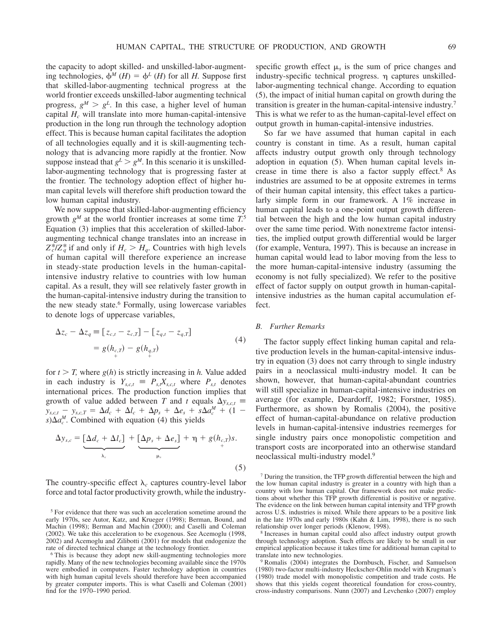the capacity to adopt skilled- and unskilled-labor-augmenting technologies,  $\phi^M(H) = \phi^L(H)$  for all *H*. Suppose first that skilled-labor-augmenting technical progress at the world frontier exceeds unskilled-labor augmenting technical progress,  $g^M > g^L$ . In this case, a higher level of human capital *Hc* will translate into more human-capital-intensive production in the long run through the technology adoption effect. This is because human capital facilitates the adoption of all technologies equally and it is skill-augmenting technology that is advancing more rapidly at the frontier. Now suppose instead that  $g^L > g^M$ . In this scenario it is unskilledlabor-augmenting technology that is progressing faster at the frontier. The technology adoption effect of higher human capital levels will therefore shift production toward the low human capital industry.

We now suppose that skilled-labor-augmenting efficiency growth *gM* at the world frontier increases at some time *T.*<sup>5</sup> Equation (3) implies that this acceleration of skilled-laboraugmenting technical change translates into an increase in  $Z_c^*/Z_q^*$  if and only if  $H_c > H_q$ . Countries with high levels of human capital will therefore experience an increase in steady-state production levels in the human-capitalintensive industry relative to countries with low human capital. As a result, they will see relatively faster growth in the human-capital-intensive industry during the transition to the new steady state.<sup>6</sup> Formally, using lowercase variables to denote logs of uppercase variables,

$$
\Delta z_c - \Delta z_q \equiv [z_{c,t} - z_{c,T}] - [z_{q,t} - z_{q,T}]
$$
  
=  $g(h_{c,T}) - g(h_{q,T})$  (4)

for  $t > T$ , where  $g(h)$  is strictly increasing in *h*. Value added in each industry is  $Y_{s,c,t} = P_{s,t}X_{s,c,t}$  where  $P_{s,t}$  denotes international prices. The production function implies that growth of value added between *T* and *t* equals  $\Delta y_{s,c,t}$  $y_{s,c,t} - y_{s,c,T} = \Delta d_c + \Delta l_c + \Delta p_s + \Delta e_s + s \Delta a_c^M + (1 - \Delta)$  $s) \Delta a_c^M$ . Combined with equation (4) this yields

$$
\Delta y_{s,c} = \underbrace{\left[\Delta d_c + \Delta l_c\right]}_{\lambda_c} + \underbrace{\left[\Delta p_s + \Delta e_s\right]}_{\mu_s} + \eta + g(h_{c,T})s. \tag{5}
$$

The country-specific effect  $\lambda_c$  captures country-level labor force and total factor productivity growth, while the industryspecific growth effect  $\mu$ <sub>s</sub> is the sum of price changes and industry-specific technical progress.  $\eta$  captures unskilledlabor-augmenting technical change. According to equation (5), the impact of initial human capital on growth during the transition is greater in the human-capital-intensive industry.7 This is what we refer to as the human-capital-level effect on output growth in human-capital-intensive industries.

So far we have assumed that human capital in each country is constant in time. As a result, human capital affects industry output growth only through technology adoption in equation (5). When human capital levels increase in time there is also a factor supply effect.8 As industries are assumed to be at opposite extremes in terms of their human capital intensity, this effect takes a particularly simple form in our framework. A 1% increase in human capital leads to a one-point output growth differential between the high and the low human capital industry over the same time period. With nonextreme factor intensities, the implied output growth differential would be larger (for example, Ventura, 1997). This is because an increase in human capital would lead to labor moving from the less to the more human-capital-intensive industry (assuming the economy is not fully specialized). We refer to the positive effect of factor supply on output growth in human-capitalintensive industries as the human capital accumulation effect.

### *B. Further Remarks*

The factor supply effect linking human capital and relative production levels in the human-capital-intensive industry in equation (3) does not carry through to single industry pairs in a neoclassical multi-industry model. It can be shown, however, that human-capital-abundant countries will still specialize in human-capital-intensive industries on average (for example, Deardorff, 1982; Forstner, 1985). Furthermore, as shown by Romalis (2004), the positive effect of human-capital-abundance on relative production levels in human-capital-intensive industries reemerges for single industry pairs once monopolistic competition and transport costs are incorporated into an otherwise standard neoclassical multi-industry model.9

<sup>8</sup> Increases in human capital could also affect industry output growth through technology adoption. Such effects are likely to be small in our empirical application because it takes time for additional human capital to translate into new technologies.

Romalis (2004) integrates the Dornbusch, Fischer, and Samuelson (1980) two-factor multi-industry Heckscher-Ohlin model with Krugman's (1980) trade model with monopolistic competition and trade costs. He shows that this yields cogent theoretical foundation for cross-country, cross-industry comparisons. Nunn (2007) and Levchenko (2007) employ

<sup>5</sup> For evidence that there was such an acceleration sometime around the early 1970s, see Autor, Katz, and Krueger (1998); Berman, Bound, and Machin (1998); Berman and Machin (2000); and Caselli and Coleman (2002). We take this acceleration to be exogenous. See Acemoglu (1998, 2002) and Acemoglu and Zilibotti (2001) for models that endogenize the rate of directed technical change at the technology frontier.

<sup>6</sup> This is because they adopt new skill-augmenting technologies more rapidly. Many of the new technologies becoming available since the 1970s were embodied in computers. Faster technology adoption in countries with high human capital levels should therefore have been accompanied by greater computer imports. This is what Caselli and Coleman (2001) find for the 1970–1990 period.

<sup>7</sup> During the transition, the TFP growth differential between the high and the low human capital industry is greater in a country with high than a country with low human capital. Our framework does not make predictions about whether this TFP growth differential is positive or negative. The evidence on the link between human capital intensity and TFP growth across U.S. industries is mixed. While there appears to be a positive link in the late 1970s and early 1980s (Kahn & Lim, 1998), there is no such relationship over longer periods (Klenow, 1998).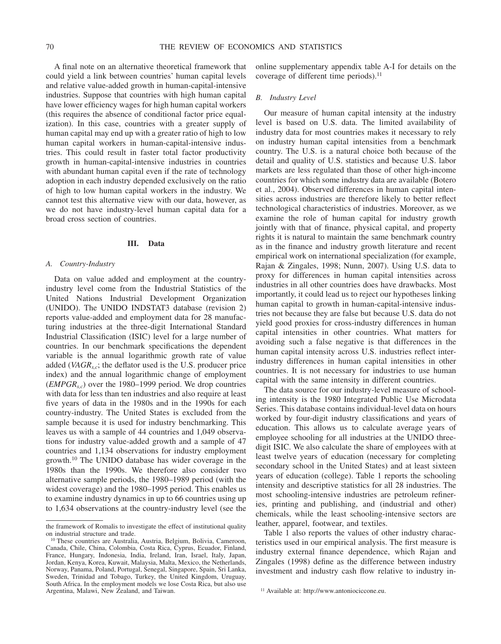A final note on an alternative theoretical framework that could yield a link between countries' human capital levels and relative value-added growth in human-capital-intensive industries. Suppose that countries with high human capital have lower efficiency wages for high human capital workers (this requires the absence of conditional factor price equalization). In this case, countries with a greater supply of human capital may end up with a greater ratio of high to low human capital workers in human-capital-intensive industries. This could result in faster total factor productivity growth in human-capital-intensive industries in countries with abundant human capital even if the rate of technology adoption in each industry depended exclusively on the ratio of high to low human capital workers in the industry. We cannot test this alternative view with our data, however, as we do not have industry-level human capital data for a broad cross section of countries.

#### **III. Data**

#### *A. Country-Industry*

Data on value added and employment at the countryindustry level come from the Industrial Statistics of the United Nations Industrial Development Organization (UNIDO). The UNIDO INDSTAT3 database (revision 2) reports value-added and employment data for 28 manufacturing industries at the three-digit International Standard Industrial Classification (ISIC) level for a large number of countries. In our benchmark specifications the dependent variable is the annual logarithmic growth rate of value added (*VAGRs,c*; the deflator used is the U.S. producer price index) and the annual logarithmic change of employment (*EMPGRs,c*) over the 1980–1999 period. We drop countries with data for less than ten industries and also require at least five years of data in the 1980s and in the 1990s for each country-industry. The United States is excluded from the sample because it is used for industry benchmarking. This leaves us with a sample of 44 countries and 1,049 observations for industry value-added growth and a sample of 47 countries and 1,134 observations for industry employment growth.10 The UNIDO database has wider coverage in the 1980s than the 1990s. We therefore also consider two alternative sample periods, the 1980–1989 period (with the widest coverage) and the 1980–1995 period. This enables us to examine industry dynamics in up to 66 countries using up to 1,634 observations at the country-industry level (see the

online supplementary appendix table A-I for details on the coverage of different time periods).<sup>11</sup>

### *B. Industry Level*

Our measure of human capital intensity at the industry level is based on U.S. data. The limited availability of industry data for most countries makes it necessary to rely on industry human capital intensities from a benchmark country. The U.S. is a natural choice both because of the detail and quality of U.S. statistics and because U.S. labor markets are less regulated than those of other high-income countries for which some industry data are available (Botero et al., 2004). Observed differences in human capital intensities across industries are therefore likely to better reflect technological characteristics of industries. Moreover, as we examine the role of human capital for industry growth jointly with that of finance, physical capital, and property rights it is natural to maintain the same benchmark country as in the finance and industry growth literature and recent empirical work on international specialization (for example, Rajan & Zingales, 1998; Nunn, 2007). Using U.S. data to proxy for differences in human capital intensities across industries in all other countries does have drawbacks. Most importantly, it could lead us to reject our hypotheses linking human capital to growth in human-capital-intensive industries not because they are false but because U.S. data do not yield good proxies for cross-industry differences in human capital intensities in other countries. What matters for avoiding such a false negative is that differences in the human capital intensity across U.S. industries reflect interindustry differences in human capital intensities in other countries. It is not necessary for industries to use human capital with the same intensity in different countries.

The data source for our industry-level measure of schooling intensity is the 1980 Integrated Public Use Microdata Series. This database contains individual-level data on hours worked by four-digit industry classifications and years of education. This allows us to calculate average years of employee schooling for all industries at the UNIDO threedigit ISIC. We also calculate the share of employees with at least twelve years of education (necessary for completing secondary school in the United States) and at least sixteen years of education (college). Table 1 reports the schooling intensity and descriptive statistics for all 28 industries. The most schooling-intensive industries are petroleum refineries, printing and publishing, and (industrial and other) chemicals, while the least schooling-intensive sectors are leather, apparel, footwear, and textiles.

Table 1 also reports the values of other industry characteristics used in our empirical analysis. The first measure is industry external finance dependence, which Rajan and Zingales (1998) define as the difference between industry investment and industry cash flow relative to industry in-

the framework of Romalis to investigate the effect of institutional quality on industrial structure and trade.

<sup>10</sup> These countries are Australia, Austria, Belgium, Bolivia, Cameroon, Canada, Chile, China, Colombia, Costa Rica, Cyprus, Ecuador, Finland, France, Hungary, Indonesia, India, Ireland, Iran, Israel, Italy, Japan, Jordan, Kenya, Korea, Kuwait, Malaysia, Malta, Mexico, the Netherlands, Norway, Panama, Poland, Portugal, Senegal, Singapore, Spain, Sri Lanka, Sweden, Trinidad and Tobago, Turkey, the United Kingdom, Uruguay, South Africa. In the employment models we lose Costa Rica, but also use Argentina, Malawi, New Zealand, and Taiwan. 11 Available at: http://www.antoniociccone.eu.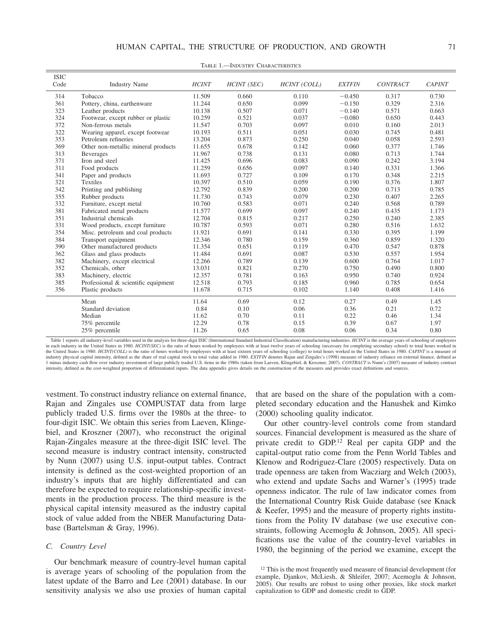| <b>ISIC</b><br>Code | <b>Industry Name</b>                | <b>HCINT</b> | HCINT (SEC) | <b>HCINT</b> (COLL) | <b>EXTFIN</b> | <b>CONTRACT</b> | <b>CAPINT</b> |
|---------------------|-------------------------------------|--------------|-------------|---------------------|---------------|-----------------|---------------|
|                     |                                     |              |             |                     |               |                 |               |
| 314                 | Tobacco                             | 11.509       | 0.660       | 0.110               | $-0.450$      | 0.317           | 0.730         |
| 361                 | Pottery, china, earthenware         | 11.244       | 0.650       | 0.099               | $-0.150$      | 0.329           | 2.316         |
| 323                 | Leather products                    | 10.138       | 0.507       | 0.071               | $-0.140$      | 0.571           | 0.663         |
| 324                 | Footwear, except rubber or plastic  | 10.259       | 0.521       | 0.037               | $-0.080$      | 0.650           | 0.443         |
| 372                 | Non-ferrous metals                  | 11.547       | 0.703       | 0.097               | 0.010         | 0.160           | 2.013         |
| 322                 | Wearing apparel, except footwear    | 10.193       | 0.511       | 0.051               | 0.030         | 0.745           | 0.481         |
| 353                 | Petroleum refineries                | 13.204       | 0.873       | 0.250               | 0.040         | 0.058           | 2.593         |
| 369                 | Other non-metallic mineral products | 11.655       | 0.678       | 0.142               | 0.060         | 0.377           | 1.746         |
| 313                 | <b>Beverages</b>                    | 11.967       | 0.738       | 0.131               | 0.080         | 0.713           | 1.744         |
| 371                 | Iron and steel                      | 11.425       | 0.696       | 0.083               | 0.090         | 0.242           | 3.194         |
| 311                 | Food products                       | 11.259       | 0.656       | 0.097               | 0.140         | 0.331           | 1.366         |
| 341                 | Paper and products                  | 11.693       | 0.727       | 0.109               | 0.170         | 0.348           | 2.215         |
| 321                 | Textiles                            | 10.397       | 0.510       | 0.059               | 0.190         | 0.376           | 1.807         |
| 342                 | Printing and publishing             | 12.792       | 0.839       | 0.200               | 0.200         | 0.713           | 0.785         |
| 355                 | Rubber products                     | 11.730       | 0.743       | 0.079               | 0.230         | 0.407           | 2.265         |
| 332                 | Furniture, except metal             | 10.760       | 0.583       | 0.071               | 0.240         | 0.568           | 0.789         |
| 381                 | Fabricated metal products           | 11.577       | 0.699       | 0.097               | 0.240         | 0.435           | 1.173         |
| 351                 | Industrial chemicals                | 12.704       | 0.815       | 0.217               | 0.250         | 0.240           | 2.385         |
| 331                 | Wood products, except furniture     | 10.787       | 0.593       | 0.071               | 0.280         | 0.516           | 1.632         |
| 354                 | Misc. petroleum and coal products   | 11.921       | 0.691       | 0.141               | 0.330         | 0.395           | 1.199         |
| 384                 | Transport equipment                 | 12.346       | 0.780       | 0.159               | 0.360         | 0.859           | 1.320         |
| 390                 | Other manufactured products         | 11.354       | 0.651       | 0.119               | 0.470         | 0.547           | 0.878         |
| 362                 | Glass and glass products            | 11.484       | 0.691       | 0.087               | 0.530         | 0.557           | 1.954         |
| 382                 | Machinery, except electrical        | 12.266       | 0.789       | 0.139               | 0.600         | 0.764           | 1.017         |
| 352                 | Chemicals, other                    | 13.031       | 0.821       | 0.270               | 0.750         | 0.490           | 0.800         |
| 383                 | Machinery, electric                 | 12.357       | 0.781       | 0.163               | 0.950         | 0.740           | 0.924         |
| 385                 | Professional & scientific equipment | 12.518       | 0.793       | 0.185               | 0.960         | 0.785           | 0.654         |
| 356                 | Plastic products                    | 11.678       | 0.715       | 0.102               | 1.140         | 0.408           | 1.416         |
|                     | Mean                                | 11.64        | 0.69        | 0.12                | 0.27          | 0.49            | 1.45          |
|                     | Standard deviation                  | 0.84         | 0.10        | 0.06                | 0.36          | 0.21            | 0.72          |
|                     | Median                              | 11.62        | 0.70        | 0.11                | 0.22          | 0.46            | 1.34          |
|                     | 75% percentile                      | 12.29        | 0.78        | 0.15                | 0.39          | 0.67            | 1.97          |
|                     | 25% percentile                      | 11.26        | 0.65        | 0.08                | 0.06          | 0.34            | 0.80          |

TABLE 1.—INDUSTRY CHARACTERISTICS

Table 1 reports all industry-level variables used in the analysis for three-digit ISIC (International Standard Industrial Classification) manufacturing industries. *HCINT* is the average years of schooling of employees in each industry in the United States in 1980. *HCINT(SEC)* is the ratio of hours worked by employees with at least twelve years of schooling (necessary for completing secondary school) to total hours worked in the United States in 1980. *HCINT(COLL)* is the ratio of hours worked by employees with at least sixteen years of schooling (college) to total hours worked in the United States in 1980. *CAPINT* is a measure of industry physical capital intensity, defined as the share of real capital stock to total value added in 1980. *EXTFIN* denotes Rajan and Zingales's (1998) measure of industry reliance on external finance, defined as 1 minus industry cash flow over industry investment of large publicly traded U.S. firms in the 1980s (taken from Laeven, Klingebiel, & Kroszner, 2007). *CONTRACT* is Nunn's (2007) measure of industry contract intensity, defined as the cost-weighted proportion of differentiated inputs. The data appendix gives details on the construction of the measures and provides exact definitions and sources.

vestment. To construct industry reliance on external finance, Rajan and Zingales use COMPUSTAT data from large publicly traded U.S. firms over the 1980s at the three- to four-digit ISIC. We obtain this series from Laeven, Klingebiel, and Kroszner (2007), who reconstruct the original Rajan-Zingales measure at the three-digit ISIC level. The second measure is industry contract intensity, constructed by Nunn (2007) using U.S. input-output tables. Contract intensity is defined as the cost-weighted proportion of an industry's inputs that are highly differentiated and can therefore be expected to require relationship-specific investments in the production process. The third measure is the physical capital intensity measured as the industry capital stock of value added from the NBER Manufacturing Database (Bartelsman & Gray, 1996).

#### *C. Country Level*

Our benchmark measure of country-level human capital is average years of schooling of the population from the latest update of the Barro and Lee (2001) database. In our sensitivity analysis we also use proxies of human capital that are based on the share of the population with a completed secondary education and the Hanushek and Kimko (2000) schooling quality indicator.

Our other country-level controls come from standard sources. Financial development is measured as the share of private credit to GDP.12 Real per capita GDP and the capital-output ratio come from the Penn World Tables and Klenow and Rodriguez-Clare (2005) respectively. Data on trade openness are taken from Wacziarg and Welch (2003), who extend and update Sachs and Warner's (1995) trade openness indicator. The rule of law indicator comes from the International Country Risk Guide database (see Knack & Keefer, 1995) and the measure of property rights institutions from the Polity IV database (we use executive constraints, following Acemoglu & Johnson, 2005). All specifications use the value of the country-level variables in 1980, the beginning of the period we examine, except the

<sup>&</sup>lt;sup>12</sup> This is the most frequently used measure of financial development (for example, Djankov, McLiesh, & Shleifer, 2007; Acemoglu & Johnson, 2005). Our results are robust to using other proxies, like stock market capitalization to GDP and domestic credit to GDP.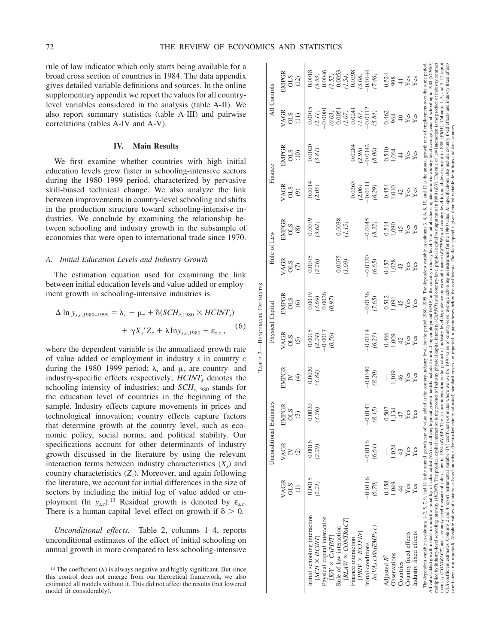TABLE 2.—BENCHMARK

ESTIMATES

2. - BENCHMARK ESTIMATES

rule of law indicator which only starts being available for a broad cross section of countries in 1984. The data appendix gives detailed variable definitions and sources. In the online supplementary appendix we report the values for all countrylevel variables considered in the analysis (table A-II). We also report summary statistics (table A-III) and pairwise correlations (tables A-IV and A-V).

#### **IV. Main Results**

We first examine whether countries with high initial education levels grew faster in schooling-intensive sectors during the 1980–1999 period, characterized by pervasive skill-biased technical change. We also analyze the link between improvements in country-level schooling and shifts in the production structure toward schooling-intensive industries. We conclude by examining the relationship between schooling and industry growth in the subsample of economies that were open to international trade since 1970.

### *A. Initial Education Levels and Industry Growth*

The estimation equation used for examining the link between initial education levels and value-added or employment growth in schooling-intensive industries is

$$
\Delta \ln y_{s,c,1980-1999} = \lambda_c + \mu_s + \delta(SCH_{c,1980} \times HCINT_s) + \gamma X_s' Z_c + \lambda \ln y_{s,c,1980} + \varepsilon_{s,c}
$$
, (6)

where the dependent variable is the annualized growth rate of value added or employment in industry *s* in country *c* during the 1980–1999 period;  $\lambda_c$  and  $\mu_s$  are country- and industry-specific effects respectively; *HCINT<sub>s</sub>* denotes the schooling intensity of industries; and *SCH<sub>c,1980</sub>* stands for the education level of countries in the beginning of the sample. Industry effects capture movements in prices and technological innovation; country effects capture factors that determine growth at the country level, such as economic policy, social norms, and political stability. Our specifications account for other determinants of industry growth discussed in the literature by using the relevant interaction terms between industry characteristics  $(X<sub>s</sub>)$  and country characteristics  $(Z_c)$ . Moreover, and again following the literature, we account for initial differences in the size of sectors by including the initial log of value added or employment (ln  $y_{sc}$ ).<sup>13</sup> Residual growth is denoted by  $\varepsilon_{sc}$ . There is a human-capital–level effect on growth if  $\delta > 0$ .

*Unconditional effects.* Table 2, columns 1–4, reports unconditional estimates of the effect of initial schooling on annual growth in more compared to less schooling-intensive

<sup>&</sup>lt;sup>13</sup> The coefficient  $(\lambda)$  is always negative and highly significant. But since this control does not emerge from our theoretical framework, we also estimated all models without it. This did not affect the results (but lowered model fit considerably).

|                         | EMPGR<br>STIO<br>(12)                           | 0.0018<br>$(3.53)$<br>$0.0046$<br>$\begin{array}{c} (1.52) \\ 0.0053 \\ (1.54) \\ 0.0298 \end{array}$<br>$(3.08)$ -0.0144                                                                                                  | (7.46)                                                | 0.524<br>998<br>$\mathbf{Y}\mathbf{es}$<br>Yes<br>$\overline{4}$                                                                                                                                                                                                                                                                                                                                                                                                                                                                                                                                                                                                                                                                                                                                                                                                                                                                                                                                                                                                                                                                                                                                                                                                                                                                                                        |
|-------------------------|-------------------------------------------------|----------------------------------------------------------------------------------------------------------------------------------------------------------------------------------------------------------------------------|-------------------------------------------------------|-------------------------------------------------------------------------------------------------------------------------------------------------------------------------------------------------------------------------------------------------------------------------------------------------------------------------------------------------------------------------------------------------------------------------------------------------------------------------------------------------------------------------------------------------------------------------------------------------------------------------------------------------------------------------------------------------------------------------------------------------------------------------------------------------------------------------------------------------------------------------------------------------------------------------------------------------------------------------------------------------------------------------------------------------------------------------------------------------------------------------------------------------------------------------------------------------------------------------------------------------------------------------------------------------------------------------------------------------------------------------|
| All Controls            |                                                 |                                                                                                                                                                                                                            |                                                       |                                                                                                                                                                                                                                                                                                                                                                                                                                                                                                                                                                                                                                                                                                                                                                                                                                                                                                                                                                                                                                                                                                                                                                                                                                                                                                                                                                         |
|                         | VAGR<br>STO<br>(11)                             | 0.0015<br>(1.87)<br>$(2.11)$<br>0.0001<br>$\begin{array}{c} 0.0051 \\ (7.07) \\ 0.0241 \end{array}$<br>$(0.03)$                                                                                                            | (5.84)                                                | 0.462<br>964<br>Yes<br>Yes<br>$\sqrt{4}$                                                                                                                                                                                                                                                                                                                                                                                                                                                                                                                                                                                                                                                                                                                                                                                                                                                                                                                                                                                                                                                                                                                                                                                                                                                                                                                                |
| Finance                 | <b>EMPGR</b><br>$rac{10}{50}$                   | 0.0284<br>0.0020<br>$(2.98)$ <sup>-0.0142</sup><br>(3.81)                                                                                                                                                                  | (8.00)                                                | added at the country-industry level for the period 1980–1999. The dependent variable in columns 3, 4, 6, 8, 10, and 12 is the annual growth rate of employment over the same period<br>0.510<br>1,064<br>Yes<br>Yes<br>$\overline{4}$                                                                                                                                                                                                                                                                                                                                                                                                                                                                                                                                                                                                                                                                                                                                                                                                                                                                                                                                                                                                                                                                                                                                   |
|                         | VAGR<br>STIO<br>$\circledcirc$                  | 0.0014<br>$\begin{array}{c} 0.0263 \\ (2.06) \\ -0.0111 \end{array}$<br>(2.05)                                                                                                                                             | (6.29)                                                | 0.454<br>$1,010$<br>42<br>$Y$ es<br>Yes                                                                                                                                                                                                                                                                                                                                                                                                                                                                                                                                                                                                                                                                                                                                                                                                                                                                                                                                                                                                                                                                                                                                                                                                                                                                                                                                 |
|                         | EMPGR<br>STIO<br>$\circledS$                    | 0.0019<br>0.0038<br>(1.15)<br>(3.62)                                                                                                                                                                                       | $-0.0145$<br>(8.32)                                   | 0.514<br>1,090<br>Yes<br>45<br>Yes                                                                                                                                                                                                                                                                                                                                                                                                                                                                                                                                                                                                                                                                                                                                                                                                                                                                                                                                                                                                                                                                                                                                                                                                                                                                                                                                      |
| Rule of Law             | VAGR<br>STIO<br>$\in$                           | 0.0075<br>0.0015<br>(1.69)<br>(2.26)                                                                                                                                                                                       | $-0.0120$<br>(6.65)                                   | 1,028<br>0.457<br>Yes<br>Yes<br>43                                                                                                                                                                                                                                                                                                                                                                                                                                                                                                                                                                                                                                                                                                                                                                                                                                                                                                                                                                                                                                                                                                                                                                                                                                                                                                                                      |
|                         | EMPGR<br>STO<br>$\odot$                         | 0.0019<br>$(3.69)$<br>0.0026<br>(0.97)                                                                                                                                                                                     | $-0.0136$<br>(7.65)                                   | 0.512<br>1,091<br>Yes<br>Yes<br>45                                                                                                                                                                                                                                                                                                                                                                                                                                                                                                                                                                                                                                                                                                                                                                                                                                                                                                                                                                                                                                                                                                                                                                                                                                                                                                                                      |
| Physical Capital        | <b>VAGR</b><br>STIO<br>$\odot$                  | 0.0015<br>$(2.24)$<br>$-0.0017$<br>(0.56)                                                                                                                                                                                  | $-0.0114$<br>(6.23)                                   | 0.466<br>1,009<br>$\mathbf{Yes}$<br>Yes<br>42                                                                                                                                                                                                                                                                                                                                                                                                                                                                                                                                                                                                                                                                                                                                                                                                                                                                                                                                                                                                                                                                                                                                                                                                                                                                                                                           |
|                         | EMPGR<br>$\geq$<br>$\bigoplus$                  | 0.0020<br>(3.84)                                                                                                                                                                                                           | $-0.0140$<br>(8.20)                                   | ,109<br>Yes<br>Yes<br>46                                                                                                                                                                                                                                                                                                                                                                                                                                                                                                                                                                                                                                                                                                                                                                                                                                                                                                                                                                                                                                                                                                                                                                                                                                                                                                                                                |
|                         | <b>EMPGR</b><br>STIO<br>$\widehat{\mathcal{E}}$ | .0020<br>76)<br>$\mathfrak{S}.$                                                                                                                                                                                            | .0141<br>45)<br>$\otimes$<br>$\overline{\phantom{0}}$ | 507<br>1,134<br>les<br>es<br>$\ddot{r}$                                                                                                                                                                                                                                                                                                                                                                                                                                                                                                                                                                                                                                                                                                                                                                                                                                                                                                                                                                                                                                                                                                                                                                                                                                                                                                                                 |
| Unconditional Estimates | VAGR<br>$\geq$<br>$\widehat{\circ}$             | 0.0016<br>(2.20)                                                                                                                                                                                                           | $-0.0116$<br>(6.64)                                   | ,024<br>Yes<br>Yes<br>43                                                                                                                                                                                                                                                                                                                                                                                                                                                                                                                                                                                                                                                                                                                                                                                                                                                                                                                                                                                                                                                                                                                                                                                                                                                                                                                                                |
|                         | VAGR<br>STO                                     | 0.0015<br>(2.21)                                                                                                                                                                                                           | $-0.0116$<br>(6.70)                                   | 0.458<br>1,049<br>Yes<br>Yes<br>$\frac{4}{4}$                                                                                                                                                                                                                                                                                                                                                                                                                                                                                                                                                                                                                                                                                                                                                                                                                                                                                                                                                                                                                                                                                                                                                                                                                                                                                                                           |
|                         |                                                 | Initial schooling interaction<br>Physical capital interaction<br>[RLAW × CONTRACT<br>Rule of law interaction<br>$[PRIV \times EXTFIN]$<br>$\lfloor K Y \times CAPINT \rfloor$<br>$ISCH \times HCNT$<br>Finance interaction | ln(VAs.c)/ln(EMPs.c)<br>Initial conditions            | intensity (CONTRACT) and a country-level measure of rule of law in 1984 (RLAW). The finance intenstion is the product of industry-level dependence on external finance (EXTFM) and country-level financial development in 198<br>OLS coefficient estimates. Columns 2 and 4 report instrumental variable (IV) coefficient estimates where we use the 1970 value of country-level average schooling as instrument for the 1980 value. All specifications also in<br>multiplied by industry-level schooling intensity (HCINT). The physical capital intenation is the product of industry physical capital intensity (CAPINT) and country-level physical capital to output ratio in 1980 (K/Y). The<br>All value-added growth models include the initial log of value added (VA) and all employment growth models include the initial log employment (EMP) at the country-industry level. The initial schooling interaction is countr<br>coefficients not reported). Absolute values of Asatistics based on robust (heteroskedasticity-adjusted) sandard errors are reported in parentheses below the coefficients. The data appendix gives detailed variable definitio<br>The dependent variable in columns $1-2$ , 5, 7, 9, and 11 is the annual growth rate of value<br>Country fixed effects<br>Industry fixed effects<br>Observations<br>Adjusted $R^2$<br>Countries |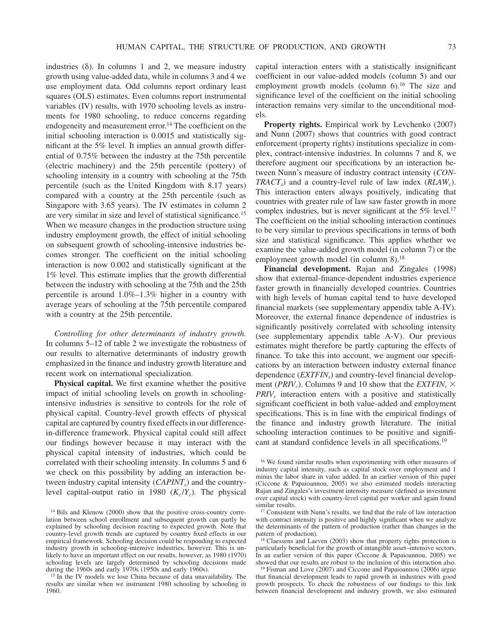industries  $(\delta)$ . In columns 1 and 2, we measure industry growth using value-added data, while in columns 3 and 4 we use employment data. Odd columns report ordinary least squares (OLS) estimates. Even columns report instrumental variables (IV) results, with 1970 schooling levels as instruments for 1980 schooling, to reduce concerns regarding endogeneity and measurement error.<sup>14</sup> The coefficient on the initial schooling interaction is 0.0015 and statistically significant at the 5% level. It implies an annual growth differential of 0.75% between the industry at the 75th percentile (electric machinery) and the 25th percentile (pottery) of schooling intensity in a country with schooling at the 75th percentile (such as the United Kingdom with 8.17 years) compared with a country at the 25th percentile (such as Singapore with 3.65 years). The IV estimates in column 2 are very similar in size and level of statistical significance.15 When we measure changes in the production structure using industry employment growth, the effect of initial schooling on subsequent growth of schooling-intensive industries becomes stronger. The coefficient on the initial schooling interaction is now 0.002 and statistically significant at the 1% level. This estimate implies that the growth differential between the industry with schooling at the 75th and the 25th percentile is around 1.0%–1.3% higher in a country with average years of schooling at the 75th percentile compared with a country at the 25th percentile.

*Controlling for other determinants of industry growth.* In columns 5–12 of table 2 we investigate the robustness of our results to alternative determinants of industry growth emphasized in the finance and industry growth literature and recent work on international specialization.

**Physical capital.** We first examine whether the positive impact of initial schooling levels on growth in schoolingintensive industries is sensitive to controls for the role of physical capital. Country-level growth effects of physical capital are captured by country fixed effects in our differencein-difference framework. Physical capital could still affect our findings however because it may interact with the physical capital intensity of industries, which could be correlated with their schooling intensity. In columns 5 and 6 we check on this possibility by adding an interaction between industry capital intensity (*CAPINT<sub>s</sub>*) and the countrylevel capital-output ratio in 1980  $(K_c/Y_c)$ . The physical capital interaction enters with a statistically insignificant coefficient in our value-added models (column 5) and our employment growth models (column  $6$ ).<sup>16</sup> The size and significance level of the coefficient on the initial schooling interaction remains very similar to the unconditional models.

**Property rights.** Empirical work by Levchenko (2007) and Nunn (2007) shows that countries with good contract enforcement (property rights) institutions specialize in complex, contract-intensive industries. In columns 7 and 8, we therefore augment our specifications by an interaction between Nunn's measure of industry contract intensity (*CON-TRACT<sub>s</sub>*) and a country-level rule of law index (*RLAW<sub>c</sub>*). This interaction enters always positively, indicating that countries with greater rule of law saw faster growth in more complex industries, but is never significant at the 5% level.<sup>17</sup> The coefficient on the initial schooling interaction continues to be very similar to previous specifications in terms of both size and statistical significance. This applies whether we examine the value-added growth model (in column 7) or the employment growth model (in column 8).<sup>18</sup>

**Financial development.** Rajan and Zingales (1998) show that external-finance-dependent industries experience faster growth in financially developed countries. Countries with high levels of human capital tend to have developed financial markets (see supplementary appendix table A-IV). Moreover, the external finance dependence of industries is significantly positively correlated with schooling intensity (see supplementary appendix table A-V). Our previous estimates might therefore be partly capturing the effects of finance. To take this into account, we augment our specifications by an interaction between industry external finance dependence (*EXTFIN<sub>s</sub>*) and country-level financial development ( $PRIV<sub>c</sub>$ ). Columns 9 and 10 show that the *EXTFIN<sub>s</sub>*  $\times$ *PRIV<sub>c</sub>* interaction enters with a positive and statistically significant coefficient in both value-added and employment specifications. This is in line with the empirical findings of the finance and industry growth literature. The initial schooling interaction continues to be positive and significant at standard confidence levels in all specifications.19

<sup>&</sup>lt;sup>14</sup> Bils and Klenow (2000) show that the positive cross-country correlation between school enrollment and subsequent growth can partly be explained by schooling decision reacting to expected growth. Note that country-level growth trends are captured by country fixed effects in our empirical framework. Schooling decision could be responding to expected industry growth in schooling-intensive industries, however. This is unlikely to have an important effect on our results, however, as 1980 (1970) schooling levels are largely determined by schooling decisions made during the 1960s and early 1970s (1950s and early 1960s).

<sup>15</sup> In the IV models we lose China because of data unavailability. The results are similar when we instrument 1980 schooling by schooling in 1960.

<sup>&</sup>lt;sup>16</sup> We found similar results when experimenting with other measures of industry capital intensity, such as capital stock over employment and 1 minus the labor share in value added. In an earlier version of this paper (Ciccone & Papaioannou, 2005) we also estimated models interacting Rajan and Zingales's investment intensity measure (defined as investment over capital stock) with country-level capital per worker and again found similar results.

<sup>&</sup>lt;sup>17</sup> Consistent with Nunn's results, we find that the rule of law interaction with contract intensity is positive and highly significant when we analyze the determinants of the pattern of production (rather than changes in the pattern of production).

<sup>&</sup>lt;sup>18</sup> Claessens and Laeven (2003) show that property rights protection is particularly beneficial for the growth of intangible asset–intensive sectors. In an earlier version of this paper (Ciccone & Papaioannou, 2005) we showed that our results are robust to the inclusion of this interaction also.

<sup>19</sup> Fisman and Love (2007) and Ciccone and Papaioannou (2006) argue that financial development leads to rapid growth in industries with good growth prospects. To check the robustness of our findings to this link between financial development and industry growth, we also estimated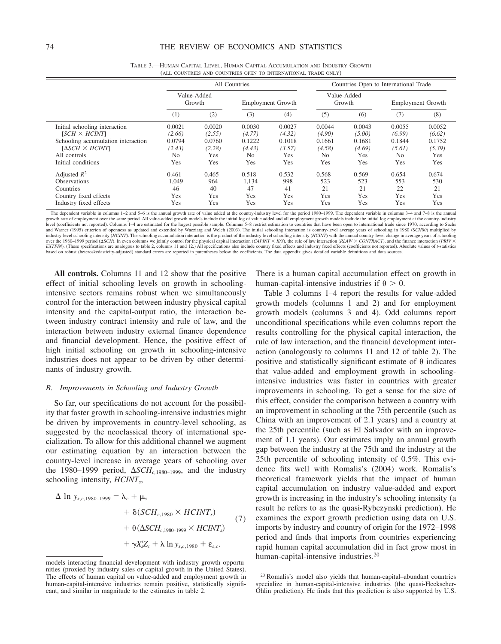|                                    |                |                       | All Countries  |                   |                | Countries Open to International Trade |                |                          |
|------------------------------------|----------------|-----------------------|----------------|-------------------|----------------|---------------------------------------|----------------|--------------------------|
|                                    |                | Value-Added<br>Growth |                | Employment Growth |                | Value-Added<br>Growth                 |                | <b>Employment Growth</b> |
|                                    | (1)            | (2)                   | (3)            | (4)               | (5)            | (6)                                   | (7)            | (8)                      |
| Initial schooling interaction      | 0.0021         | 0.0020                | 0.0030         | 0.0027            | 0.0044         | 0.0043                                | 0.0055         | 0.0052                   |
| $ISCH \times HCINT$                | (2.66)         | (2.55)                | (4.77)         | (4.32)            | (4.90)         | (5.00)                                | (6.99)         | (6.62)                   |
| Schooling accumulation interaction | 0.0794         | 0.0760                | 0.1222         | 0.1018            | 0.1661         | 0.1681                                | 0.1844         | 0.1752                   |
| $[\Delta SCH \times HCINT]$        | (2.43)         | (2.28)                | (4.43)         | (3.57)            | (4.58)         | (4.69)                                | (5.61)         | (5.39)                   |
| All controls                       | N <sub>o</sub> | Yes                   | N <sub>0</sub> | Yes               | N <sub>0</sub> | Yes                                   | N <sub>0</sub> | Yes                      |
| Initial conditions                 | Yes            | Yes                   | Yes            | Yes               | Yes            | Yes                                   | Yes            | Yes                      |
| Adjusted $R^2$                     | 0.461          | 0.465                 | 0.518          | 0.532             | 0.568          | 0.569                                 | 0.654          | 0.674                    |
| <b>Observations</b>                | 1.049          | 964                   | 1,134          | 998               | 523            | 523                                   | 553            | 530                      |
| Countries                          | 46             | 40                    | 47             | 41                | 21             | 21                                    | 22             | 21                       |
| Country fixed effects              | Yes            | Yes                   | Yes            | Yes               | Yes            | Yes                                   | Yes            | Yes                      |
| Industry fixed effects             | Yes            | Yes                   | Yes            | Yes               | Yes            | Yes                                   | Yes            | Yes                      |

TABLE 3.—HUMAN CAPITAL LEVEL, HUMAN CAPITAL ACCUMULATION AND INDUSTRY GROWTH (ALL COUNTRIES AND COUNTRIES OPEN TO INTERNATIONAL TRADE ONLY)

The dependent variable in columns 1–2 and 5–6 is the annual growth rate of value added at the country-industry level for the period 1980–1999. The dependent variable in columns 3–4 and 7–8 is the annual growth rate of employment over the same period. All value-added growth models include the initial log of value added and all employment growth models include the initial log employment at the country-industry level (coefficients not reported). Columns 1–4 are estimated for the largest possible sample. Columns 5–8 restrict estimation to countries that have been open to international trade since 1970, according to Sachs<br>and Warne industry-level schooling intensity (HCINT). The schooling accumulation interaction is the product of the industry-level schooling intensity (HCINT) with the annual country-level change in average years of schooling over the 1980–1999 period ( $\Delta SCH$ ). In even columns we jointly control for the physical capital interaction (CAPINT × K/Y), the rule of law interaction (RLAW × CONTRACT), and the finance interaction (PRIV × EXTFIN). (These specifications are analogous to table 2, columns 11 and 12.) All specifications also include country fixed effects and industry fixed effects (coefficients not reported). Absolute values of t-statistics based on robust (heteroskedasticity-adjusted) standard errors are reported in parentheses below the coefficients. The data appendix gives detailed variable definitions and data sources.

**All controls.** Columns 11 and 12 show that the positive effect of initial schooling levels on growth in schoolingintensive sectors remains robust when we simultaneously control for the interaction between industry physical capital intensity and the capital-output ratio, the interaction between industry contract intensity and rule of law, and the interaction between industry external finance dependence and financial development. Hence, the positive effect of high initial schooling on growth in schooling-intensive industries does not appear to be driven by other determinants of industry growth.

#### *B. Improvements in Schooling and Industry Growth*

So far, our specifications do not account for the possibility that faster growth in schooling-intensive industries might be driven by improvements in country-level schooling, as suggested by the neoclassical theory of international specialization. To allow for this additional channel we augment our estimating equation by an interaction between the country-level increase in average years of schooling over the 1980–1999 period,  $\Delta SCH_{c,1980-1999}$ , and the industry schooling intensity, *HCINT<sub>s</sub>*,

$$
\Delta \ln y_{s,c,1980-1999} = \lambda_c + \mu_s
$$
  
+ 
$$
\delta (SCH_{c,1980} \times HCINT_s)
$$
  
+ 
$$
\theta (\Delta SCH_{c,1980-1999} \times HCINT_s)
$$
  
+ 
$$
\gamma X_s'Z_c + \lambda \ln y_{s,c,1980} + \varepsilon_{s,c}.
$$
 (7)

There is a human capital accumulation effect on growth in human-capital-intensive industries if  $\theta > 0$ .

Table 3 columns 1–4 report the results for value-added growth models (columns 1 and 2) and for employment growth models (columns 3 and 4). Odd columns report unconditional specifications while even columns report the results controlling for the physical capital interaction, the rule of law interaction, and the financial development interaction (analogously to columns 11 and 12 of table 2). The positive and statistically significant estimate of  $\theta$  indicates that value-added and employment growth in schoolingintensive industries was faster in countries with greater improvements in schooling. To get a sense for the size of this effect, consider the comparison between a country with an improvement in schooling at the 75th percentile (such as China with an improvement of 2.1 years) and a country at the 25th percentile (such as El Salvador with an improvement of 1.1 years). Our estimates imply an annual growth gap between the industry at the 75th and the industry at the 25th percentile of schooling intensity of 0.5%. This evidence fits well with Romalis's (2004) work. Romalis's theoretical framework yields that the impact of human capital accumulation on industry value-added and export growth is increasing in the industry's schooling intensity (a result he refers to as the quasi-Rybczynski prediction). He examines the export growth prediction using data on U.S. imports by industry and country of origin for the 1972–1998 period and finds that imports from countries experiencing rapid human capital accumulation did in fact grow most in human-capital-intensive industries.20

models interacting financial development with industry growth opportunities (proxied by industry sales or capital growth in the United States). The effects of human capital on value-added and employment growth in human-capital-intensive industries remain positive, statistically significant, and similar in magnitude to the estimates in table 2.

<sup>20</sup> Romalis's model also yields that human-capital–abundant countries specialize in human-capital-intensive industries (the quasi-Heckscher-Ohlin prediction). He finds that this prediction is also supported by U.S.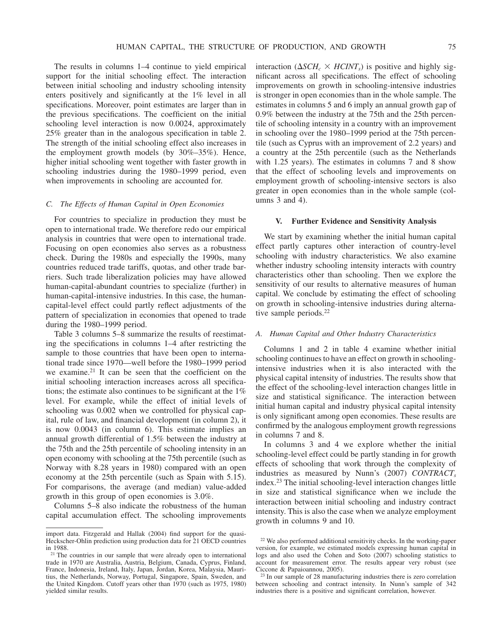The results in columns 1–4 continue to yield empirical support for the initial schooling effect. The interaction between initial schooling and industry schooling intensity enters positively and significantly at the 1% level in all specifications. Moreover, point estimates are larger than in the previous specifications. The coefficient on the initial schooling level interaction is now 0.0024, approximately 25% greater than in the analogous specification in table 2. The strength of the initial schooling effect also increases in the employment growth models (by 30%–35%). Hence, higher initial schooling went together with faster growth in schooling industries during the 1980–1999 period, even when improvements in schooling are accounted for.

### *C. The Effects of Human Capital in Open Economies*

For countries to specialize in production they must be open to international trade. We therefore redo our empirical analysis in countries that were open to international trade. Focusing on open economies also serves as a robustness check. During the 1980s and especially the 1990s, many countries reduced trade tariffs, quotas, and other trade barriers. Such trade liberalization policies may have allowed human-capital-abundant countries to specialize (further) in human-capital-intensive industries. In this case, the humancapital-level effect could partly reflect adjustments of the pattern of specialization in economies that opened to trade during the 1980–1999 period.

Table 3 columns 5–8 summarize the results of reestimating the specifications in columns 1–4 after restricting the sample to those countries that have been open to international trade since 1970—well before the 1980–1999 period we examine.21 It can be seen that the coefficient on the initial schooling interaction increases across all specifications; the estimate also continues to be significant at the 1% level. For example, while the effect of initial levels of schooling was 0.002 when we controlled for physical capital, rule of law, and financial development (in column 2), it is now 0.0043 (in column 6). This estimate implies an annual growth differential of 1.5% between the industry at the 75th and the 25th percentile of schooling intensity in an open economy with schooling at the 75th percentile (such as Norway with 8.28 years in 1980) compared with an open economy at the 25th percentile (such as Spain with 5.15). For comparisons, the average (and median) value-added growth in this group of open economies is 3.0%.

Columns 5–8 also indicate the robustness of the human capital accumulation effect. The schooling improvements

interaction ( $\Delta SCH_c \times HCINT_s$ ) is positive and highly significant across all specifications. The effect of schooling improvements on growth in schooling-intensive industries is stronger in open economies than in the whole sample. The estimates in columns 5 and 6 imply an annual growth gap of 0.9% between the industry at the 75th and the 25th percentile of schooling intensity in a country with an improvement in schooling over the 1980–1999 period at the 75th percentile (such as Cyprus with an improvement of 2.2 years) and a country at the 25th percentile (such as the Netherlands with 1.25 years). The estimates in columns 7 and 8 show that the effect of schooling levels and improvements on employment growth of schooling-intensive sectors is also greater in open economies than in the whole sample (columns 3 and 4).

### **V. Further Evidence and Sensitivity Analysis**

We start by examining whether the initial human capital effect partly captures other interaction of country-level schooling with industry characteristics. We also examine whether industry schooling intensity interacts with country characteristics other than schooling. Then we explore the sensitivity of our results to alternative measures of human capital. We conclude by estimating the effect of schooling on growth in schooling-intensive industries during alternative sample periods.<sup>22</sup>

### *A. Human Capital and Other Industry Characteristics*

Columns 1 and 2 in table 4 examine whether initial schooling continues to have an effect on growth in schoolingintensive industries when it is also interacted with the physical capital intensity of industries. The results show that the effect of the schooling-level interaction changes little in size and statistical significance. The interaction between initial human capital and industry physical capital intensity is only significant among open economies. These results are confirmed by the analogous employment growth regressions in columns 7 and 8.

In columns 3 and 4 we explore whether the initial schooling-level effect could be partly standing in for growth effects of schooling that work through the complexity of industries as measured by Nunn's (2007) *CONTRACT<sub>s</sub>* index.23 The initial schooling-level interaction changes little in size and statistical significance when we include the interaction between initial schooling and industry contract intensity. This is also the case when we analyze employment growth in columns 9 and 10.

import data. Fitzgerald and Hallak (2004) find support for the quasi-Heckscher-Ohlin prediction using production data for 21 OECD countries in 1988.

<sup>&</sup>lt;sup>21</sup> The countries in our sample that were already open to international trade in 1970 are Australia, Austria, Belgium, Canada, Cyprus, Finland, France, Indonesia, Ireland, Italy, Japan, Jordan, Korea, Malaysia, Mauritius, the Netherlands, Norway, Portugal, Singapore, Spain, Sweden, and the United Kingdom. Cutoff years other than 1970 (such as 1975, 1980) yielded similar results.

<sup>22</sup> We also performed additional sensitivity checks. In the working-paper version, for example, we estimated models expressing human capital in logs and also used the Cohen and Soto (2007) schooling statistics to account for measurement error. The results appear very robust (see Ciccone & Papaioannou, 2005).

<sup>&</sup>lt;sup>23</sup> In our sample of 28 manufacturing industries there is zero correlation between schooling and contract intensity. In Nunn's sample of 342 industries there is a positive and significant correlation, however.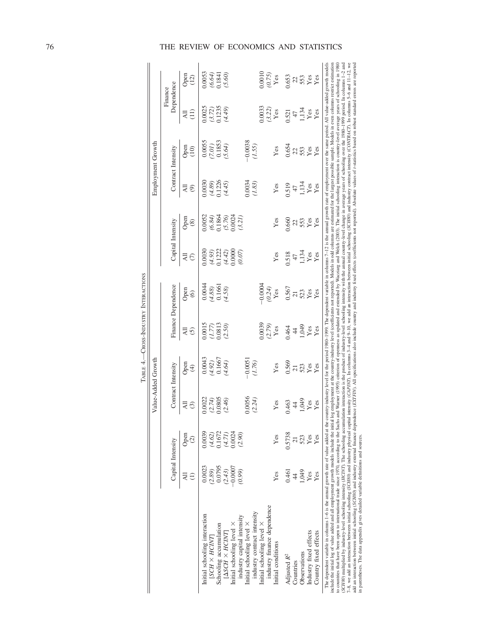|                                                                                                                                                                                                                                                                                                                                                                                                                                                                                                                                                                                                                                                                                                                                                                                                                                                                                                                                                                                                                                      |                     |                           | Value-Added Growth |                     |                                              |                                                                        |                                                                       |                                                | Employment Growth                                                                                                                                                            |                                                                     |                                                           |                                                               |
|--------------------------------------------------------------------------------------------------------------------------------------------------------------------------------------------------------------------------------------------------------------------------------------------------------------------------------------------------------------------------------------------------------------------------------------------------------------------------------------------------------------------------------------------------------------------------------------------------------------------------------------------------------------------------------------------------------------------------------------------------------------------------------------------------------------------------------------------------------------------------------------------------------------------------------------------------------------------------------------------------------------------------------------|---------------------|---------------------------|--------------------|---------------------|----------------------------------------------|------------------------------------------------------------------------|-----------------------------------------------------------------------|------------------------------------------------|------------------------------------------------------------------------------------------------------------------------------------------------------------------------------|---------------------------------------------------------------------|-----------------------------------------------------------|---------------------------------------------------------------|
|                                                                                                                                                                                                                                                                                                                                                                                                                                                                                                                                                                                                                                                                                                                                                                                                                                                                                                                                                                                                                                      | Capital Intensity   |                           |                    | Contract Intensity  |                                              | Finance Dependence                                                     |                                                                       | Capital Intensity                              | Contract Intensity                                                                                                                                                           |                                                                     | Dependence<br>Finance                                     |                                                               |
|                                                                                                                                                                                                                                                                                                                                                                                                                                                                                                                                                                                                                                                                                                                                                                                                                                                                                                                                                                                                                                      | ₹                   | Open<br>$\widehat{\circ}$ | 치<br>$\odot$       | Open<br>$\bigoplus$ | ₹<br>$\odot$                                 | Open<br>$\odot$                                                        | ₹⊙                                                                    | Open<br>$\circledast$                          | ₹<br>$\circledcirc$                                                                                                                                                          | Open<br>(10)                                                        | ₹                                                         | Open<br>(12)                                                  |
| Initial schooling interaction<br>$SCH \times HCNT$                                                                                                                                                                                                                                                                                                                                                                                                                                                                                                                                                                                                                                                                                                                                                                                                                                                                                                                                                                                   | 0.0023<br>(2.89)    | 0.0039<br>(4.62)          | 0.0022             | 0.0043              | $(1.77)$<br>$(1.77)$<br>$(0.50)$<br>$(2.50)$ | $\begin{array}{c} 0.0044 \\ (4.88) \\ 0.1661 \\ (4.58) \\ \end{array}$ | 0.0030                                                                | 0.0052                                         | 0.0030                                                                                                                                                                       | $\begin{array}{c} 0.0055 \\ (7.01) \\ 0.1853 \\ (5.64) \end{array}$ | 0.0025                                                    | 0.0053                                                        |
| Schooling accumulation                                                                                                                                                                                                                                                                                                                                                                                                                                                                                                                                                                                                                                                                                                                                                                                                                                                                                                                                                                                                               | 0.0795              | 0.1672                    | $(2.74)$<br>0.0805 | $(4.92)$<br>0.1667  |                                              |                                                                        | $\begin{array}{c} (4.93) \\ (1.222) \\ (4.42) \\ (0.000) \end{array}$ |                                                | $(4.89)$<br>$0.1226$<br>$(4.45)$                                                                                                                                             |                                                                     | $\begin{array}{c} (3.72) \\ 0.1235 \\ (4.49) \end{array}$ | $(6.64)$<br>$(5.60)$                                          |
| $ \Delta SCH \times HClNT $                                                                                                                                                                                                                                                                                                                                                                                                                                                                                                                                                                                                                                                                                                                                                                                                                                                                                                                                                                                                          | (2.43)              | (4.71)                    | (2.46)             | (4.64)              |                                              |                                                                        |                                                                       |                                                |                                                                                                                                                                              |                                                                     |                                                           |                                                               |
| industry capital intensity<br>Initial schooling level $\times$                                                                                                                                                                                                                                                                                                                                                                                                                                                                                                                                                                                                                                                                                                                                                                                                                                                                                                                                                                       | $-0.0007$<br>(0.99) | 0.0024<br>(2.90)          |                    |                     |                                              |                                                                        | (0.07)                                                                | $(6.84)$<br>$(1864)$<br>$(5.76)$<br>$(0.0024)$ |                                                                                                                                                                              |                                                                     |                                                           |                                                               |
| Initial schooling level X                                                                                                                                                                                                                                                                                                                                                                                                                                                                                                                                                                                                                                                                                                                                                                                                                                                                                                                                                                                                            |                     |                           | 0.0056             | $-0.0051$           |                                              |                                                                        |                                                                       |                                                | 1.0034                                                                                                                                                                       | $-0.0038$<br>(1.55)                                                 |                                                           |                                                               |
| industry contract intensity                                                                                                                                                                                                                                                                                                                                                                                                                                                                                                                                                                                                                                                                                                                                                                                                                                                                                                                                                                                                          |                     |                           | (2.24)             | (1.76)              |                                              |                                                                        |                                                                       |                                                | (1.83)                                                                                                                                                                       |                                                                     |                                                           |                                                               |
| industry finance dependence<br>Initial schooling level $\times$                                                                                                                                                                                                                                                                                                                                                                                                                                                                                                                                                                                                                                                                                                                                                                                                                                                                                                                                                                      |                     |                           |                    |                     | 0.0039                                       | 0.0004<br>(0.24)                                                       |                                                                       |                                                |                                                                                                                                                                              |                                                                     | $10033$<br>$(3.22)$<br>Yes                                | $(0.75)$<br>Yes                                               |
| Initial conditions                                                                                                                                                                                                                                                                                                                                                                                                                                                                                                                                                                                                                                                                                                                                                                                                                                                                                                                                                                                                                   | Yes                 | Yes                       | Yes                | Yes                 | Yes                                          | Yes                                                                    | Yes                                                                   | Yes                                            | Yes                                                                                                                                                                          | Yes                                                                 |                                                           |                                                               |
| Adjusted $R^2$                                                                                                                                                                                                                                                                                                                                                                                                                                                                                                                                                                                                                                                                                                                                                                                                                                                                                                                                                                                                                       | 0.461               | 0.5738                    | 0.463              | 0.569               | 0.464                                        | 0.567                                                                  | 1.518                                                                 | .660                                           |                                                                                                                                                                              | 0.654                                                               |                                                           | 1.653                                                         |
| Countries                                                                                                                                                                                                                                                                                                                                                                                                                                                                                                                                                                                                                                                                                                                                                                                                                                                                                                                                                                                                                            | $\overline{4}$      | $\overline{c}$            | $\frac{4}{4}$      |                     | 44                                           |                                                                        |                                                                       |                                                | $0.519$<br>47                                                                                                                                                                |                                                                     |                                                           |                                                               |
| Observations                                                                                                                                                                                                                                                                                                                                                                                                                                                                                                                                                                                                                                                                                                                                                                                                                                                                                                                                                                                                                         | 1,049               | 523                       | 1,049              | $\frac{21}{23}$     | 1,049                                        | 7328                                                                   | $^{47}_{1,134}$<br>Yes<br>Yes                                         |                                                | 1,134                                                                                                                                                                        | 253                                                                 | 0.521<br>1,134<br>Yes<br>Yes                              | $\begin{array}{c} 23 \\ 253 \\ Y \text{es} \\ 24 \end{array}$ |
| Industry fixed effects                                                                                                                                                                                                                                                                                                                                                                                                                                                                                                                                                                                                                                                                                                                                                                                                                                                                                                                                                                                                               | Yes                 | Yes                       | Yes                |                     | ${\rm Yes}$                                  |                                                                        |                                                                       |                                                | Yes                                                                                                                                                                          | Yes<br>Yes                                                          |                                                           |                                                               |
| Country fixed effects                                                                                                                                                                                                                                                                                                                                                                                                                                                                                                                                                                                                                                                                                                                                                                                                                                                                                                                                                                                                                | Yes                 | Yes                       | Yes                |                     | Yes                                          |                                                                        |                                                                       |                                                | Yes                                                                                                                                                                          |                                                                     |                                                           |                                                               |
| The dependent variable in columns 1-6 is the annual growth rate of value added at the country-industry level for the period 1980-1999. The dependent variable in columns 7-12 is the annual growth rate of employment over th<br>include the initial log of value added and all employment growth models include the initial log employment at the country-industry level (coefficients not reported). Models in odd columns are estimated for the largest poss<br>o countries that have been open to international trade since 1970, according to the Sachs and Warmer (1995) criterion of openness as updated and extended by Waeziarg and Webth (2003). The initial schooling interaction is c<br>(SCH80) multiplied by industry-level schooling intensity (HCINT). The schooling accumulation intenaction is the product of industry-level schooling intensity with the annual country-level change in average years of schooli<br>$7-8$ , we add an interaction between initial schooling (SCH80) and industry physical capital |                     |                           |                    |                     |                                              |                                                                        |                                                                       |                                                | intensity (CAPNT). In columns 3–4 and 9–10, we add an interaction between initial schooling (SCH80) and industry contract intensity (CONTRACT). In columns 5–6 and 11–12, we |                                                                     |                                                           |                                                               |

TABLE 4.-CROSS-INDUSTRY INTERACTIONS TABLE 4.—CROSS-INDUSTRY INTERACTIONS

The contribution of the state and all employment growth model includes a beam of the product of the product of the country-duck of the product of the product of the state in the countries in the contrigent and the countri 7-8, we add an interaction between initial schooling (SCH80) and industry physical capital ingustal capital intensity (CAPINT). In columns 3-4 and 9-10, we add an interaction between initial schooling (SCH80) and industry add an interaction between initial schooling (SCH80) and industry external finance dependence (EXTFIN). All specifications also include country and industry fixed effects (coefficients not reported). Absolute values of t-s in parentheses. The data appendix gives detailed variable definitions and sources.

## 76 THE REVIEW OF ECONOMICS AND STATISTICS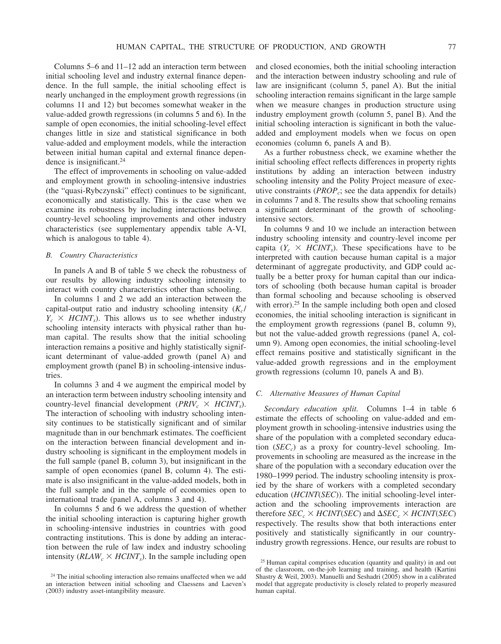Columns 5–6 and 11–12 add an interaction term between initial schooling level and industry external finance dependence. In the full sample, the initial schooling effect is nearly unchanged in the employment growth regressions (in columns 11 and 12) but becomes somewhat weaker in the value-added growth regressions (in columns 5 and 6). In the sample of open economies, the initial schooling-level effect changes little in size and statistical significance in both value-added and employment models, while the interaction between initial human capital and external finance dependence is insignificant.<sup>24</sup>

The effect of improvements in schooling on value-added and employment growth in schooling-intensive industries (the "quasi-Rybczynski" effect) continues to be significant, economically and statistically. This is the case when we examine its robustness by including interactions between country-level schooling improvements and other industry characteristics (see supplementary appendix table A-VI, which is analogous to table 4).

#### *B. Country Characteristics*

In panels A and B of table 5 we check the robustness of our results by allowing industry schooling intensity to interact with country characteristics other than schooling.

In columns 1 and 2 we add an interaction between the capital-output ratio and industry schooling intensity  $(K_c)$  $Y_c \times$  *HCINT<sub>s</sub>*). This allows us to see whether industry schooling intensity interacts with physical rather than human capital. The results show that the initial schooling interaction remains a positive and highly statistically significant determinant of value-added growth (panel A) and employment growth (panel B) in schooling-intensive industries.

In columns 3 and 4 we augment the empirical model by an interaction term between industry schooling intensity and country-level financial development ( $PRIV_c \times HCINT_s$ ). The interaction of schooling with industry schooling intensity continues to be statistically significant and of similar magnitude than in our benchmark estimates. The coefficient on the interaction between financial development and industry schooling is significant in the employment models in the full sample (panel B, column 3), but insignificant in the sample of open economies (panel B, column 4). The estimate is also insignificant in the value-added models, both in the full sample and in the sample of economies open to international trade (panel A, columns 3 and 4).

In columns 5 and 6 we address the question of whether the initial schooling interaction is capturing higher growth in schooling-intensive industries in countries with good contracting institutions. This is done by adding an interaction between the rule of law index and industry schooling intensity ( $RLAW_c \times HCINT_s$ ). In the sample including open and closed economies, both the initial schooling interaction and the interaction between industry schooling and rule of law are insignificant (column 5, panel A). But the initial schooling interaction remains significant in the large sample when we measure changes in production structure using industry employment growth (column 5, panel B). And the initial schooling interaction is significant in both the valueadded and employment models when we focus on open economies (column 6, panels A and B).

As a further robustness check, we examine whether the initial schooling effect reflects differences in property rights institutions by adding an interaction between industry schooling intensity and the Polity Project measure of executive constraints (*PROP*<sub>c</sub>; see the data appendix for details) in columns 7 and 8. The results show that schooling remains a significant determinant of the growth of schoolingintensive sectors.

In columns 9 and 10 we include an interaction between industry schooling intensity and country-level income per capita ( $Y_c \times HCINT_s$ ). These specifications have to be interpreted with caution because human capital is a major determinant of aggregate productivity, and GDP could actually be a better proxy for human capital than our indicators of schooling (both because human capital is broader than formal schooling and because schooling is observed with error).<sup>25</sup> In the sample including both open and closed economies, the initial schooling interaction is significant in the employment growth regressions (panel B, column 9), but not the value-added growth regressions (panel A, column 9). Among open economies, the initial schooling-level effect remains positive and statistically significant in the value-added growth regressions and in the employment growth regressions (column 10, panels A and B).

### *C. Alternative Measures of Human Capital*

*Secondary education split.* Columns 1–4 in table 6 estimate the effects of schooling on value-added and employment growth in schooling-intensive industries using the share of the population with a completed secondary education (*SEC<sub>c</sub>*) as a proxy for country-level schooling. Improvements in schooling are measured as the increase in the share of the population with a secondary education over the 1980–1999 period. The industry schooling intensity is proxied by the share of workers with a completed secondary education (*HCINT*(*SEC*)). The initial schooling-level interaction and the schooling improvements interaction are therefore  $SEC_c \times HCINT(SEC)$  and  $\Delta SEC_c \times HCINT(SEC)$ respectively. The results show that both interactions enter positively and statistically significantly in our countryindustry growth regressions. Hence, our results are robust to

<sup>&</sup>lt;sup>24</sup> The initial schooling interaction also remains unaffected when we add an interaction between initial schooling and Claessens and Laeven's (2003) industry asset-intangibility measure.

<sup>25</sup> Human capital comprises education (quantity and quality) in and out of the classroom, on-the-job learning and training, and health (Kartini Shastry & Weil, 2003). Manuelli and Seshadri (2005) show in a calibrated model that aggregate productivity is closely related to properly measured human capital.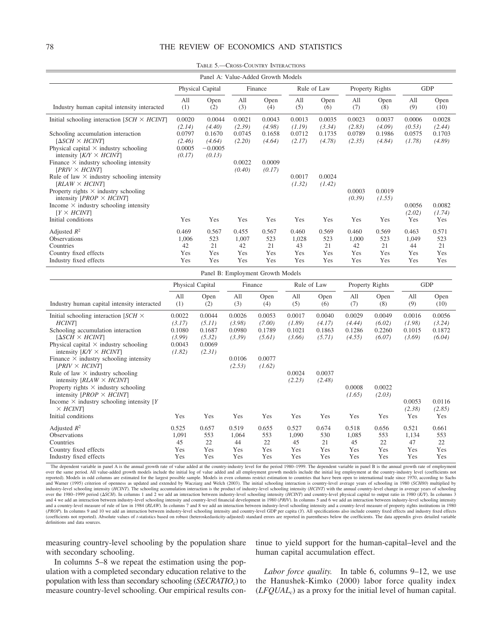TABLE 5.—CROSS-COUNTRY INTERACTIONS

|                                                    |            | Panel A: Value-Added Growth Models |            |             |            |             |            |                 |            |              |  |
|----------------------------------------------------|------------|------------------------------------|------------|-------------|------------|-------------|------------|-----------------|------------|--------------|--|
|                                                    |            | Physical Capital                   |            | Finance     |            | Rule of Law |            | Property Rights | <b>GDP</b> |              |  |
| Industry human capital intensity interacted        | All<br>(1) | Open<br>(2)                        | All<br>(3) | Open<br>(4) | All<br>(5) | Open<br>(6) | All<br>(7) | Open<br>(8)     | All<br>(9) | Open<br>(10) |  |
|                                                    |            |                                    |            |             |            |             |            |                 |            |              |  |
| Initial schooling interaction $[SCH \times HCINT]$ | 0.0020     | 0.0044                             | 0.0021     | 0.0043      | 0.0013     | 0.0035      | 0.0023     | 0.0037          | 0.0006     | 0.0028       |  |
|                                                    | (2.14)     | (4.40)                             | (2.39)     | (4.98)      | (1.19)     | (3.34)      | (2.83)     | (4.09)          | (0.53)     | (2.44)       |  |
| Schooling accumulation interaction                 | 0.0797     | 0.1670                             | 0.0745     | 0.1658      | 0.0712     | 0.1735      | 0.0789     | 0.1986          | 0.0575     | 0.1703       |  |
| [Δ <i>SCH × HCINT</i> ]                            | (2.46)     | (4.64)                             | (2.20)     | (4.64)      | (2.17)     | (4.78)      | (2.35)     | (4.84)          | (1.78)     | (4.89)       |  |
| Physical capital $\times$ industry schooling       | 0.0005     | $-0.0005$                          |            |             |            |             |            |                 |            |              |  |
| intensity $K/Y \times HCINT$                       | (0.17)     | (0.13)                             |            |             |            |             |            |                 |            |              |  |
| Finance $\times$ industry schooling intensity      |            |                                    | 0.0022     | 0.0009      |            |             |            |                 |            |              |  |
| $[PRIV \times HCINT]$                              |            |                                    | (0.40)     | (0.17)      |            |             |            |                 |            |              |  |
| Rule of law $\times$ industry schooling intensity  |            |                                    |            |             | 0.0017     | 0.0024      |            |                 |            |              |  |
| $\textit{RLAW} \times \textit{HCINT}$              |            |                                    |            |             | (1.32)     | (1.42)      |            |                 |            |              |  |
| Property rights $\times$ industry schooling        |            |                                    |            |             |            |             | 0.0003     | 0.0019          |            |              |  |
| intensity $[PROP \times HClNT]$                    |            |                                    |            |             |            |             | (0.39)     | (1.55)          |            |              |  |
| Income $\times$ industry schooling intensity       |            |                                    |            |             |            |             |            |                 | 0.0056     | 0.0082       |  |
| $[Y \times HClNT]$                                 |            |                                    |            |             |            |             |            |                 | (2.02)     | (1.74)       |  |
| Initial conditions                                 | Yes        | Yes                                | Yes        | Yes         | Yes        | Yes         | Yes        | Yes             | Yes        | Yes          |  |
| Adjusted $R^2$                                     | 0.469      | 0.567                              | 0.455      | 0.567       | 0.460      | 0.569       | 0.460      | 0.569           | 0.463      | 0.571        |  |
| <b>Observations</b>                                | 1,006      | 523                                | 1,007      | 523         | 1,028      | 523         | 1,000      | 523             | 1,049      | 523          |  |
| Countries                                          | 42         | 21                                 | 42         | 21          | 43         | 21          | 42         | 21              | 44         | 21           |  |
| Country fixed effects                              | Yes        | Yes                                | Yes        | Yes         | Yes        | Yes         | Yes        | Yes             | Yes        | Yes          |  |
| Industry fixed effects                             | Yes        | Yes                                | Yes        | Yes         | Yes        | Yes         | Yes        | Yes             | Yes        | Yes          |  |

|                                                                                                                                                                                                                                                                                                                                    |                                                          |                                                          |                                      | Panel B: Employment Growth Models    |                                      |                                      |                                      |                                      |                                      |                                      |
|------------------------------------------------------------------------------------------------------------------------------------------------------------------------------------------------------------------------------------------------------------------------------------------------------------------------------------|----------------------------------------------------------|----------------------------------------------------------|--------------------------------------|--------------------------------------|--------------------------------------|--------------------------------------|--------------------------------------|--------------------------------------|--------------------------------------|--------------------------------------|
|                                                                                                                                                                                                                                                                                                                                    |                                                          | Physical Capital                                         |                                      | Finance                              |                                      | Rule of Law                          |                                      | Property Rights                      |                                      | <b>GDP</b>                           |
| Industry human capital intensity interacted                                                                                                                                                                                                                                                                                        | All<br>(1)                                               | Open<br>(2)                                              | All<br>(3)                           | Open<br>(4)                          | All<br>(5)                           | Open<br>(6)                          | All<br>(7)                           | Open<br>(8)                          | All<br>(9)                           | Open<br>(10)                         |
| Initial schooling interaction $[SCH \times$<br><b>HCINT</b><br>Schooling accumulation interaction<br>$[\Delta SCH \times HCINT]$<br>Physical capital $\times$ industry schooling<br>intensity $K/Y \times HCINT$                                                                                                                   | 0.0022<br>(3.17)<br>0.1080<br>(3.99)<br>0.0043<br>(1.82) | 0.0044<br>(5.11)<br>0.1687<br>(5.32)<br>0.0069<br>(2.31) | 0.0026<br>(3.98)<br>0.0980<br>(3.39) | 0.0053<br>(7.00)<br>0.1789<br>(5.61) | 0.0017<br>(1.89)<br>0.1021<br>(3.66) | 0.0040<br>(4.17)<br>0.1863<br>(5.71) | 0.0029<br>(4.44)<br>0.1286<br>(4.55) | 0.0049<br>(6.02)<br>0.2260<br>(6.07) | 0.0016<br>(1.98)<br>0.1015<br>(3.69) | 0.0056<br>(3.24)<br>0.1872<br>(6.04) |
| Finance $\times$ industry schooling intensity<br>$[PRIV \times HCINT]$<br>Rule of law $\times$ industry schooling<br>intensity $[RLAW \times HCINT]$<br>Property rights $\times$ industry schooling<br>intensity $[PROP \times HCINT]$<br>Income $\times$ industry schooling intensity [Y]<br>$\times$ HCINT<br>Initial conditions | Yes                                                      | Yes                                                      | 0.0106<br>(2.53)<br>Yes              | 0.0077<br>(1.62)<br>Yes              | 0.0024<br>(2.23)<br>Yes              | 0.0037<br>(2.48)<br>Yes              | 0.0008<br>(1.65)<br>Yes              | 0.0022<br>(2.03)<br>Yes              | 0.0053<br>(2.38)<br>Yes              | 0.0116<br>(2.85)<br>Yes              |
| Adjusted $R^2$<br>Observations<br>Countries<br>Country fixed effects<br>Industry fixed effects                                                                                                                                                                                                                                     | 0.525<br>1,091<br>45<br>Yes<br>Yes                       | 0.657<br>553<br>22<br>Yes<br>Yes                         | 0.519<br>1,064<br>44<br>Yes<br>Yes   | 0.655<br>553<br>22<br>Yes<br>Yes     | 0.527<br>1,090<br>45<br>Yes<br>Yes   | 0.674<br>530<br>21<br>Yes<br>Yes     | 0.518<br>1,085<br>45<br>Yes<br>Yes   | 0.656<br>553<br>22<br>Yes<br>Yes     | 0.521<br>1,134<br>47<br>Yes<br>Yes   | 0.661<br>553<br>22<br>Yes<br>Yes     |

The dependent variable in panel A is the annual growth rate of value added at the country-industry level for the period 1980-1999. The dependent variable in panel B is the annual growth rate of employment over the same period. All value-added growth models include the initial log of value added and all employment growth models include the initial log employment at the country-industry level (coefficients not over the same p reported). Models in odd columns are estimated for the largest possible sample. Models in even columns restrict estimation to countries that have been open to international trade since 1970, according to Sachs<br>and Warner ( industry-level schooling intensity (*HCINT*). The schooling accumulation interaction is the product of industry-level schooling intensity (*HCINT*) with the annual country-level change in average years of schooling over the 1980–1999 period (ASCH). In columns 1 and 2 we add an interaction between industry-level schooling intensity (HCINT) and country-level physical capital to output ratio in 1980 (K/Y). In columns 3 and 4 we add an i and a country-level measure of rule of law in 1984 (RLAW). In columns 7 and 8 we add an interaction between industry-level schooling intensity and a country-level measure of property rights institutions in 1980<br>(PROP). In (coefficients not reported). Absolute values of *t*-statistics based on robust (heteroskedasticity-adjusted) standard errors are reported in parentheses below the coefficients. The data appendix gives detailed variable definitions and data sources.

measuring country-level schooling by the population share with secondary schooling.

tinue to yield support for the human-capital–level and the human capital accumulation effect.

In columns 5–8 we repeat the estimation using the population with a completed secondary education relative to the population with less than secondary schooling (*SECRATIO<sub>c</sub>*) to measure country-level schooling. Our empirical results con-

Labor force quality. In table 6, columns 9-12, we use the Hanushek-Kimko (2000) labor force quality index (*LFQUALc*) as a proxy for the initial level of human capital.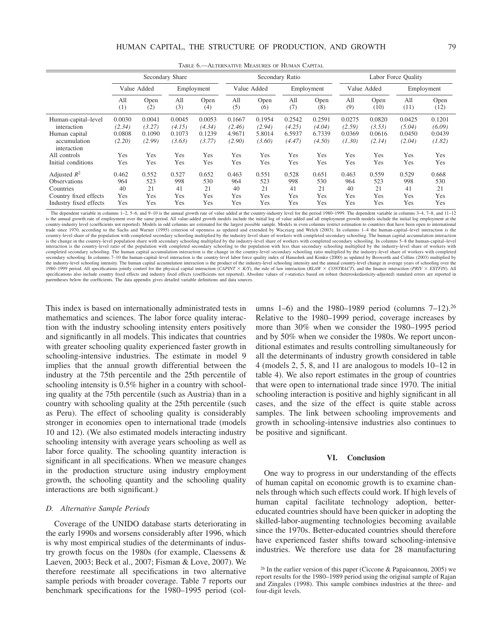|                                                                                                       |                                      |                                      | Secondary Share                      |                                      |                                      |                                      | Secondary Ratio                      |                                      |                                      |                                      | Labor Force Quality                  |                                      |
|-------------------------------------------------------------------------------------------------------|--------------------------------------|--------------------------------------|--------------------------------------|--------------------------------------|--------------------------------------|--------------------------------------|--------------------------------------|--------------------------------------|--------------------------------------|--------------------------------------|--------------------------------------|--------------------------------------|
|                                                                                                       |                                      | Value Added                          |                                      | Employment                           |                                      | Value Added                          |                                      | Employment                           |                                      | Value Added                          |                                      | Employment                           |
|                                                                                                       | All<br>(1)                           | Open<br>(2)                          | All<br>(3)                           | Open<br>(4)                          | All<br>(5)                           | Open<br>(6)                          | All<br>(7)                           | Open<br>(8)                          | All<br>(9)                           | Open<br>(10)                         | All<br>(11)                          | Open<br>(12)                         |
| Human-capital-level<br>interaction<br>Human capital<br>accumulation                                   | 0.0030<br>(2.34)<br>0.0808<br>(2.20) | 0.0041<br>(3.27)<br>0.1090<br>(2.99) | 0.0045<br>(4.15)<br>0.1073<br>(3.63) | 0.0053<br>(4.34)<br>0.1239<br>(3.77) | 0.1667<br>(2.46)<br>4.9671<br>(2.90) | 0.1954<br>(2.94)<br>5.8014<br>(3.60) | 0.2542<br>(4.25)<br>6.5937<br>(4.47) | 0.2591<br>(4.04)<br>6.7339<br>(4.50) | 0.0275<br>(2.59)<br>0.0369<br>(1.30) | 0.0820<br>(3.53)<br>0.0616<br>(2.14) | 0.0425<br>(5.04)<br>0.0450<br>(2.04) | 0.1201<br>(6.09)<br>0.0439<br>(1.82) |
| interaction<br>All controls<br>Initial conditions                                                     | Yes<br>Yes                           | Yes<br>Yes                           | Yes<br>Yes                           | Yes<br>Yes                           | Yes<br>Yes                           | Yes<br>Yes                           | Yes<br>Yes                           | Yes<br>Yes                           | Yes<br>Yes                           | Yes<br>Yes                           | Yes<br>Yes                           | Yes<br>Yes                           |
| Adjusted $R^2$<br><b>Observations</b><br>Countries<br>Country fixed effects<br>Industry fixed effects | 0.462<br>964<br>40<br>Yes<br>Yes     | 0.552<br>523<br>21<br>Yes<br>Yes     | 0.527<br>998<br>41<br>Yes<br>Yes     | 0.652<br>530<br>21<br>Yes<br>Yes     | 0.463<br>964<br>40<br>Yes<br>Yes     | 0.551<br>523<br>21<br>Yes<br>Yes     | 0.528<br>998<br>41<br>Yes<br>Yes     | 0.651<br>530<br>21<br>Yes<br>Yes     | 0.463<br>964<br>40<br>Yes<br>Yes     | 0.559<br>523<br>21<br>Yes<br>Yes     | 0.529<br>998<br>41<br>Yes<br>Yes     | 0.668<br>530<br>21<br>Yes<br>Yes     |

TABLE 6.—ALTERNATIVE MEASURES OF HUMAN CAPITAL

The dependent variable in columns 1–2, 5–6, and 9–10 is the annual growth rate of value added at the country-industry level for the period 1980–1999. The dependent variable in columns 3–4, 7–8, and 11–12 is the annual growth rate of employment over the same period. All value-added growth models include the initial log of value added and all employment growth models include the initial log employment at the country-industry level (coefficients not reported). Models in odd columns are estimated for the largest possible sample. Models in even columns restrict estimation to countries that have been open to international trade si country-level share of the population with completed secondary schooling multiplied by the industry-level share of workers with completed secondary schooling. The human capital accumulation interaction is the change in the country-level population share with secondary schooling multiplied by the industry-level share of workers with completed secondary schooling. In columns 5–8 the human-capital–level interaction is the country-level ratio of the population with completed secondary schooling to the population with less than secondary schooling multiplied by the industry-level share of workers with completed secondary schooling. The human capital accumulation interaction is the change in the country-level secondary schooling ratio multiplied by the industry-level share of workers with completed secondary schooling. In columns 7-10 the human-capital-level interaction is the country-level labor force quality index of Hanushek and Kimko (2000) as updated by Bosworth and Collins (2003) multiplied by the industry-level schooling intensity. The human capital accumulation interaction is the product of the industry-level schooling intensity and the annual country-level change in average years of schooling over the the fun specifications also include country fixed effects and industry fixed effects (coefficients not reported). Absolute values of *t*-statistics based on robust (heteroskedasticity-adjusted) standard errors are reported in parentheses below the coefficients. The data appendix gives detailed variable definitions and data sources.

This index is based on internationally administrated tests in mathematics and sciences. The labor force quality interaction with the industry schooling intensity enters positively and significantly in all models. This indicates that countries with greater schooling quality experienced faster growth in schooling-intensive industries. The estimate in model 9 implies that the annual growth differential between the industry at the 75th percentile and the 25th percentile of schooling intensity is 0.5% higher in a country with schooling quality at the 75th percentile (such as Austria) than in a country with schooling quality at the 25th percentile (such as Peru). The effect of schooling quality is considerably stronger in economies open to international trade (models 10 and 12). (We also estimated models interacting industry schooling intensity with average years schooling as well as labor force quality. The schooling quantity interaction is significant in all specifications. When we measure changes in the production structure using industry employment growth, the schooling quantity and the schooling quality interactions are both significant.)

### *D. Alternative Sample Periods*

Coverage of the UNIDO database starts deteriorating in the early 1990s and worsens considerably after 1996, which is why most empirical studies of the determinants of industry growth focus on the 1980s (for example, Claessens & Laeven, 2003; Beck et al., 2007; Fisman & Love, 2007). We therefore reestimate all specifications in two alternative sample periods with broader coverage. Table 7 reports our benchmark specifications for the 1980–1995 period (columns 1–6) and the 1980–1989 period (columns  $7-12$ ).<sup>26</sup> Relative to the 1980–1999 period, coverage increases by more than 30% when we consider the 1980–1995 period and by 50% when we consider the 1980s. We report unconditional estimates and results controlling simultaneously for all the determinants of industry growth considered in table 4 (models 2, 5, 8, and 11 are analogous to models 10–12 in table 4). We also report estimates in the group of countries that were open to international trade since 1970. The initial schooling interaction is positive and highly significant in all cases, and the size of the effect is quite stable across samples. The link between schooling improvements and growth in schooling-intensive industries also continues to be positive and significant.

#### **VI. Conclusion**

One way to progress in our understanding of the effects of human capital on economic growth is to examine channels through which such effects could work. If high levels of human capital facilitate technology adoption, bettereducated countries should have been quicker in adopting the skilled-labor-augmenting technologies becoming available since the 1970s. Better-educated countries should therefore have experienced faster shifts toward schooling-intensive industries. We therefore use data for 28 manufacturing

<sup>26</sup> In the earlier version of this paper (Ciccone & Papaioannou, 2005) we report results for the 1980–1989 period using the original sample of Rajan and Zingales (1998). This sample combines industries at the three- and four-digit levels.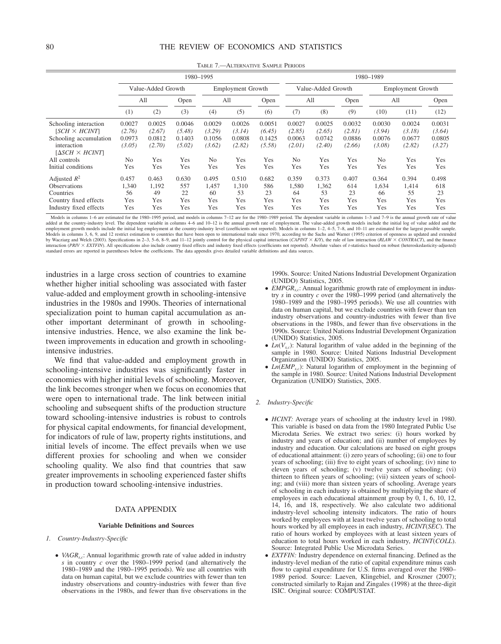|                                                                                                                                                             |                                                               |                                                    |                                                    | 1980-1995                                                     |                                                    |                                                    | 1980-1989                                                     |                                                    |                                                    |                                                               |                                                    |                                                    |  |  |
|-------------------------------------------------------------------------------------------------------------------------------------------------------------|---------------------------------------------------------------|----------------------------------------------------|----------------------------------------------------|---------------------------------------------------------------|----------------------------------------------------|----------------------------------------------------|---------------------------------------------------------------|----------------------------------------------------|----------------------------------------------------|---------------------------------------------------------------|----------------------------------------------------|----------------------------------------------------|--|--|
|                                                                                                                                                             |                                                               | Value-Added Growth                                 |                                                    |                                                               | <b>Employment Growth</b>                           |                                                    |                                                               | Value-Added Growth                                 |                                                    |                                                               | <b>Employment Growth</b>                           |                                                    |  |  |
|                                                                                                                                                             | All                                                           |                                                    | Open                                               |                                                               | A <sub>11</sub>                                    | Open                                               | All                                                           |                                                    | Open                                               | All                                                           |                                                    | Open                                               |  |  |
|                                                                                                                                                             | (1)                                                           | (2)                                                | (3)                                                | (4)                                                           | (5)                                                | (6)                                                | (7)                                                           | (8)                                                | (9)                                                | (10)                                                          | (11)                                               | (12)                                               |  |  |
| Schooling interaction<br>$[SCH \times HCINT]$<br>Schooling accumulation<br>interaction<br>$[\Delta SCH \times HCINT]$<br>All controls<br>Initial conditions | 0.0027<br>(2.76)<br>0.0973<br>(3.05)<br>N <sub>0</sub><br>Yes | 0.0025<br>(2.67)<br>0.0812<br>(2.70)<br>Yes<br>Yes | 0.0046<br>(5.48)<br>0.1403<br>(5.02)<br>Yes<br>Yes | 0.0029<br>(3.29)<br>0.1056<br>(3.62)<br>N <sub>0</sub><br>Yes | 0.0026<br>(3.14)<br>0.0808<br>(2.82)<br>Yes<br>Yes | 0.0051<br>(6.45)<br>0.1425<br>(5.58)<br>Yes<br>Yes | 0.0027<br>(2.85)<br>0.0063<br>(2.01)<br>N <sub>0</sub><br>Yes | 0.0025<br>(2.65)<br>0.0742<br>(2.40)<br>Yes<br>Yes | 0.0032<br>(2.81)<br>0.0886<br>(2.66)<br>Yes<br>Yes | 0.0030<br>(3.94)<br>0.0076<br>(3.08)<br>N <sub>0</sub><br>Yes | 0.0024<br>(3.18)<br>0.0677<br>(2.82)<br>Yes<br>Yes | 0.0031<br>(3.64)<br>0.0805<br>(3.27)<br>Yes<br>Yes |  |  |
| Adjusted $R^2$<br><b>Observations</b><br>Countries<br>Country fixed effects<br>Industry fixed effects                                                       | 0.457<br>1,340<br>56<br>Yes<br>Yes                            | 0.463<br>1,192<br>49<br>Yes<br>Yes                 | 0.630<br>557<br>22<br>Yes<br>Yes                   | 0.495<br>1,457<br>60<br>Yes<br>Yes                            | 0.510<br>1,310<br>53<br>Yes<br>Yes                 | 0.682<br>586<br>23<br>Yes<br>Yes                   | 0.359<br>1,580<br>64<br>Yes<br>Yes                            | 0.373<br>1,362<br>53<br>Yes<br>Yes                 | 0.407<br>614<br>23<br>Yes<br>Yes                   | 0.364<br>1,634<br>66<br>Yes<br>Yes                            | 0.394<br>1,414<br>55<br>Yes<br>Yes                 | 0.498<br>618<br>23<br>Yes<br>Yes                   |  |  |

TABLE 7.—ALTERNATIVE SAMPLE PERIODS

Models in columns 1–6 are estimated for the 1980–1995 period, and models in columns 7–12 are for the 1980–1989 period. The dependent variable in columns 1–3 and 7–9 is the annual growth rate of value added at the country-industry level. The dependent variable in columns 4–6 and 10–12 is the annual growth rate of employment. The value-added growth models include the initial log of value added and the employment growth models include the initial log employment at the country-industry level (coefficients not reported). Models in columns 1–2, 4–5, 7–8, and 10–11 are estimated for the largest possible sample.<br>Models in col by Wacziarg and Welch (2003). Specifications in 2-3, 5-6, 8-9, and 11-12 jointly control for the physical capital interaction (CAPINT × KY), the rule of law interaction (RLAW × CONTRACT), and the finance<br>interaction (PRIV standard errors are reported in parentheses below the coefficients. The data appendix gives detailed variable definitions and data sources.

industries in a large cross section of countries to examine whether higher initial schooling was associated with faster value-added and employment growth in schooling-intensive industries in the 1980s and 1990s. Theories of international specialization point to human capital accumulation as another important determinant of growth in schoolingintensive industries. Hence, we also examine the link between improvements in education and growth in schoolingintensive industries.

We find that value-added and employment growth in schooling-intensive industries was significantly faster in economies with higher initial levels of schooling. Moreover, the link becomes stronger when we focus on economies that were open to international trade. The link between initial schooling and subsequent shifts of the production structure toward schooling-intensive industries is robust to controls for physical capital endowments, for financial development, for indicators of rule of law, property rights institutions, and initial levels of income. The effect prevails when we use different proxies for schooling and when we consider schooling quality. We also find that countries that saw greater improvements in schooling experienced faster shifts in production toward schooling-intensive industries.

### DATA APPENDIX

#### **Variable Definitions and Sources**

- *1. Country-Industry-Specific*
	- *VAGR<sub>s,c</sub>*: Annual logarithmic growth rate of value added in industry *s* in country *c* over the 1980–1999 period (and alternatively the 1980–1989 and the 1980–1995 periods). We use all countries with data on human capital, but we exclude countries with fewer than ten industry observations and country-industries with fewer than five observations in the 1980s, and fewer than five observations in the

1990s. Source: United Nations Industrial Development Organization (UNIDO) Statistics, 2005.

- *EMPGR<sub>s.c</sub>*: Annual logarithmic growth rate of employment in industry *s* in country *c* over the 1980–1999 period (and alternatively the 1980–1989 and the 1980–1995 periods). We use all countries with data on human capital, but we exclude countries with fewer than ten industry observations and country-industries with fewer than five observations in the 1980s, and fewer than five observations in the 1990s. Source: United Nations Industrial Development Organization (UNIDO) Statistics, 2005.
- $Ln(V_{s.c})$ : Natural logarithm of value added in the beginning of the sample in 1980. Source: United Nations Industrial Development Organization (UNIDO) Statistics, 2005.
- $Ln(\text{EMP}_{s,c})$ : Natural logarithm of employment in the beginning of the sample in 1980. Source: United Nations Industrial Development Organization (UNIDO) Statistics, 2005.

#### *2. Industry-Specific*

- *HCINT:* Average years of schooling at the industry level in 1980. This variable is based on data from the 1980 Integrated Public Use Microdata Series. We extract two series: (i) hours worked by industry and years of education; and (ii) number of employees by industry and education. Our calculations are based on eight groups of educational attainment: (i) zero years of schooling; (ii) one to four years of schooling; (iii) five to eight years of schooling; (iv) nine to eleven years of schooling; (v) twelve years of schooling; (vi) thirteen to fifteen years of schooling; (vii) sixteen years of schooling; and (viii) more than sixteen years of schooling. Average years of schooling in each industry is obtained by multiplying the share of employees in each educational attainment group by 0, 1, 6, 10, 12, 14, 16, and 18, respectively. We also calculate two additional industry-level schooling intensity indicators. The ratio of hours worked by employees with at least twelve years of schooling to total hours worked by all employees in each industry, *HCINT*(*SEC*). The ratio of hours worked by employees with at least sixteen years of education to total hours worked in each industry, *HCINT*(*COLL*). Source: Integrated Public Use Microdata Series.
- *EXTFIN*: Industry dependence on external financing. Defined as the industry-level median of the ratio of capital expenditure minus cash flow to capital expenditure for U.S. firms averaged over the 1980– 1989 period. Source: Laeven, Klingebiel, and Kroszner (2007); constructed similarly to Rajan and Zingales (1998) at the three-digit ISIC. Original source: COMPUSTAT.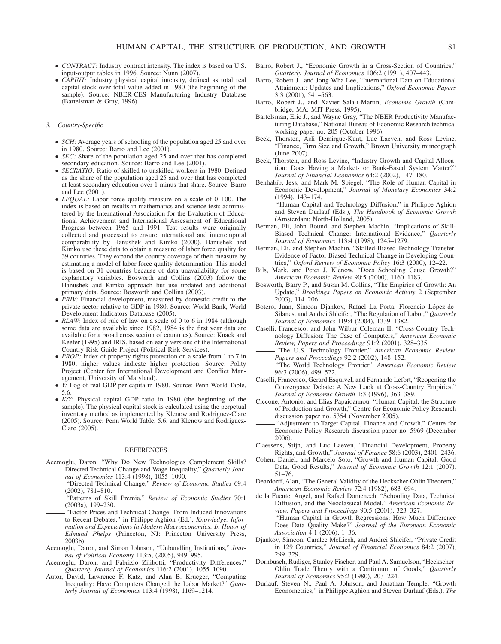- *CONTRACT:* Industry contract intensity. The index is based on U.S. input-output tables in 1996. Source: Nunn (2007).
- *CAPINT:* Industry physical capital intensity, defined as total real capital stock over total value added in 1980 (the beginning of the sample). Source: NBER-CES Manufacturing Industry Database (Bartelsman & Gray, 1996).

#### *3. Country-Specific*

- *SCH:* Average years of schooling of the population aged 25 and over in 1980. Source: Barro and Lee (2001).
- *SEC*: Share of the population aged 25 and over that has completed secondary education. Source: Barro and Lee (2001).
- *SECRATIO:* Ratio of skilled to unskilled workers in 1980. Defined as the share of the population aged 25 and over that has completed at least secondary education over 1 minus that share. Source: Barro and Lee (2001).
- *LFQUAL*: Labor force quality measure on a scale of 0-100. The index is based on results in mathematics and science tests administered by the International Association for the Evaluation of Educational Achievement and International Assessment of Educational Progress between 1965 and 1991. Test results were originally collected and processed to ensure international and intertemporal comparability by Hanushek and Kimko (2000). Hanushek and Kimko use these data to obtain a measure of labor force quality for 39 countries. They expand the country coverage of their measure by estimating a model of labor force quality determination. This model is based on 31 countries because of data unavailability for some explanatory variables. Bosworth and Collins (2003) follow the Hanushek and Kimko approach but use updated and additional primary data. Source: Bosworth and Collins (2003).
- *PRIV:* Financial development, measured by domestic credit to the private sector relative to GDP in 1980. Source: World Bank, World Development Indicators Database (2005).
- *RLAW:* Index of rule of law on a scale of 0 to 6 in 1984 (although some data are available since 1982, 1984 is the first year data are available for a broad cross section of countries). Source: Knack and Keefer (1995) and IRIS, based on early versions of the International Country Risk Guide Project (Political Risk Services).
- *PROP*: Index of property rights protection on a scale from 1 to 7 in 1980; higher values indicate higher protection. Source: Polity Project (Center for International Development and Conflict Management, University of Maryland).
- *Y:* Log of real GDP per capita in 1980. Source: Penn World Table, 5.6.
- *K/Y:* Physical capital–GDP ratio in 1980 (the beginning of the sample). The physical capital stock is calculated using the perpetual inventory method as implemented by Klenow and Rodriguez-Clare (2005). Source: Penn World Table, 5.6, and Klenow and Rodriguez-Clare (2005).

#### REFERENCES

- Acemoglu, Daron, "Why Do New Technologies Complement Skills? Directed Technical Change and Wage Inequality," *Quarterly Journal of Economics* 113:4 (1998), 1055–1090.
- "Directed Technical Change," *Review of Economic Studies* 69:4 (2002), 781–810.
- "Patterns of Skill Premia," *Review of Economic Studies* 70:1 (2003a), 199–230.
- "Factor Prices and Technical Change: From Induced Innovations to Recent Debates," in Philippe Aghion (Ed.), *Knowledge, Information and Expectations in Modern Macroeconomics: In Honor of Edmund Phelps* (Princeton, NJ: Princeton University Press, 2003b).
- Acemoglu, Daron, and Simon Johnson, "Unbundling Institutions," *Journal of Political Economy* 113:5, (2005), 949–995.
- Acemoglu, Daron, and Fabrizio Zilibotti, "Productivity Differences," *Quarterly Journal of Economics* 116:2 (2001), 1055–1090.
- Autor, David, Lawrence F. Katz, and Alan B. Krueger, "Computing Inequality: Have Computers Changed the Labor Market?" *Quarterly Journal of Economics* 113:4 (1998), 1169–1214.
- Barro, Robert J., "Economic Growth in a Cross-Section of Countries," *Quarterly Journal of Economics* 106:2 (1991), 407–443.
- Barro, Robert J., and Jong-Wha Lee, "International Data on Educational Attainment: Updates and Implications," *Oxford Economic Papers* 3:3 (2001), 541–563.
- Barro, Robert J., and Xavier Sala-i-Martin, *Economic Growth* (Cambridge, MA: MIT Press, 1995).
- Bartelsman, Eric J., and Wayne Gray, "The NBER Productivity Manufacturing Database," National Bureau of Economic Research technical working paper no. 205 (October 1996).
- Beck, Thorsten, Asli Demirgüc-Kunt, Luc Laeven, and Ross Levine, "Finance, Firm Size and Growth," Brown University mimeograph (June 2007).
- Beck, Thorsten, and Ross Levine, "Industry Growth and Capital Allocation: Does Having a Market- or Bank-Based System Matter?" *Journal of Financial Economics* 64:2 (2002), 147–180.
- Benhabib, Jess, and Mark M. Spiegel, "The Role of Human Capital in Economic Development," *Journal of Monetary Economics* 34:2 (1994), 143–174.
- "Human Capital and Technology Diffusion," in Philippe Aghion and Steven Durlauf (Eds.), *The Handbook of Economic Growth* (Amsterdam: North-Holland, 2005).
- Berman, Eli, John Bound, and Stephen Machin, "Implications of Skill-Biased Technical Change: International Evidence," *Quarterly Journal of Economics* 113:4 (1998), 1245–1279.
- Berman, Eli, and Stephen Machin, "Skilled-Biased Technology Transfer: Evidence of Factor Biased Technical Change in Developing Countries," *Oxford Review of Economic Policy* 16:3 (2000), 12–22.
- Bils, Mark, and Peter J. Klenow, "Does Schooling Cause Growth?" *American Economic Review* 90:5 (2000), 1160–1183.
- Bosworth, Barry P., and Susan M. Collins, "The Empirics of Growth: An Update," *Brookings Papers on Economic Activity* 2 (September 2003), 114–206.
- Botero, Juan, Simeon Djankov, Rafael La Porta, Florencio López-de-Silanes, and Andrei Shleifer, "The Regulation of Labor," *Quarterly Journal of Economics* 119:4 (2004), 1339–1382.
- Caselli, Francesco, and John Wilbur Coleman II, "Cross-Country Technology Diffusion: The Case of Computers," *American Economic Review, Papers and Proceedings* 91:2 (2001), 328–335.
- "The U.S. Technology Frontier," *American Economic Review, Papers and Proceedings* 92:2 (2002), 148–152.
- "The World Technology Frontier," *American Economic Review* 96:3 (2006), 499–522.
- Caselli, Francesco, Gerard Esquivel, and Fernando Lefort, "Reopening the Convergence Debate: A New Look at Cross-Country Empirics," *Journal of Economic Growth* 1:3 (1996), 363–389.
- Ciccone, Antonio, and Elias Papaioannou, "Human Capital, the Structure of Production and Growth," Centre for Economic Policy Research discussion paper no. 5354 (November 2005).
- "Adjustment to Target Capital, Finance and Growth," Centre for Economic Policy Research discussion paper no. 5969 (December 2006).
- Claessens, Stijn, and Luc Laeven, "Financial Development, Property Rights, and Growth," *Journal of Finance* 58:6 (2003), 2401–2436.
- Cohen, Daniel, and Marcelo Soto, "Growth and Human Capital: Good Data, Good Results," *Journal of Economic Growth* 12:1 (2007), 51–76.
- Deardorff, Alan, "The General Validity of the Heckscher-Ohlin Theorem," *American Economic Review* 72:4 (1982), 683–694.
- de la Fuente, Angel, and Rafael Domenech, "Schooling Data, Technical Diffusion, and the Neoclassical Model," *American Economic Review, Papers and Proceedings* 90:5 (2001), 323–327.
- "Human Capital in Growth Regressions: How Much Difference Does Data Quality Make?" *Journal of the European Economic Association* 4:1 (2006), 1–36.
- Djankov, Simeon, Caralee McLiesh, and Andrei Shleifer, "Private Credit in 129 Countries," *Journal of Financial Economics* 84:2 (2007), 299–329.
- Dornbusch, Rudiger, Stanley Fischer, and Paul A. Samuclson, "Heckscher-Ohlin Trade Theory with a Continuum of Goods," *Quarterly Journal of Economics* 95:2 (1980), 203–224.
- Durlauf, Steven N., Paul A. Johnson, and Jonathan Temple, "Growth Econometrics," in Philippe Aghion and Steven Durlauf (Eds.), *The*